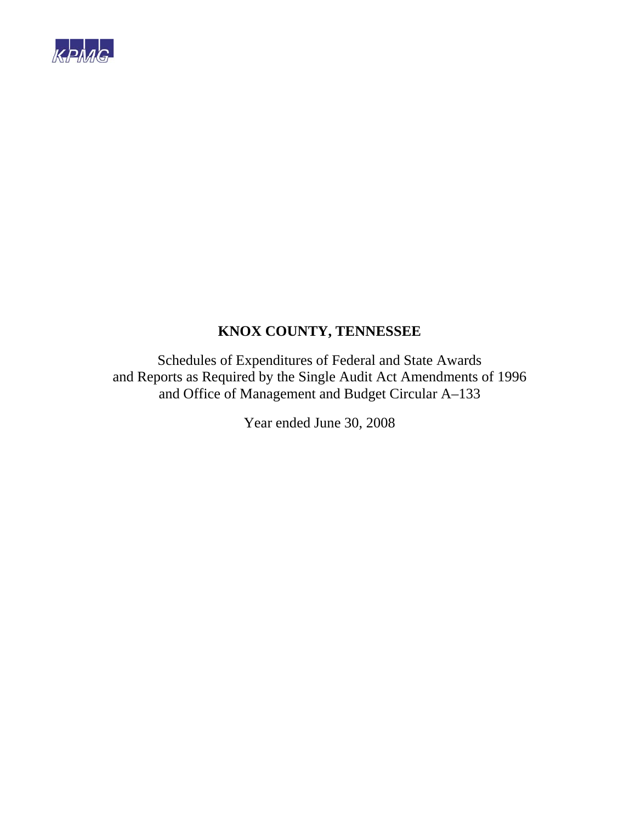

Schedules of Expenditures of Federal and State Awards and Reports as Required by the Single Audit Act Amendments of 1996 and Office of Management and Budget Circular A–133

Year ended June 30, 2008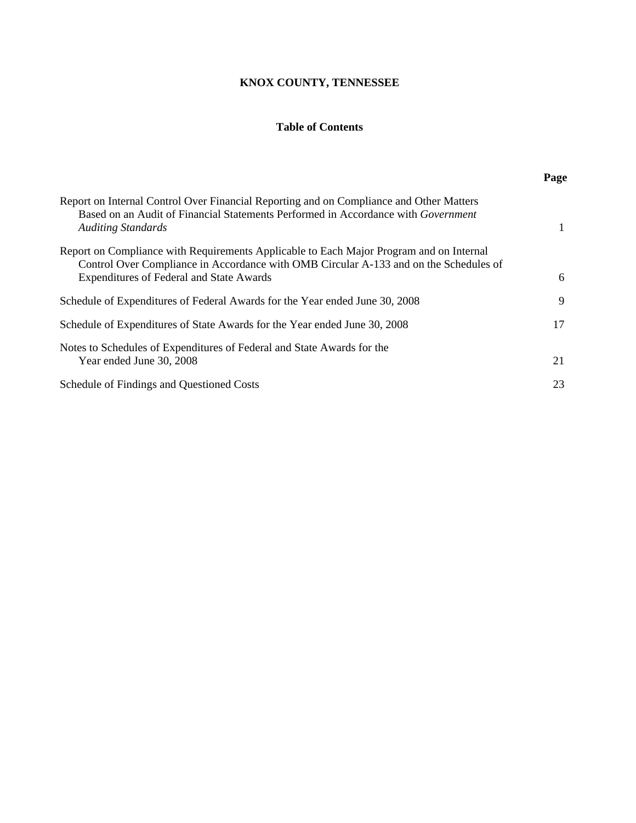## **Table of Contents**

|                                                                                                                                                                                                                                     | Page |
|-------------------------------------------------------------------------------------------------------------------------------------------------------------------------------------------------------------------------------------|------|
| Report on Internal Control Over Financial Reporting and on Compliance and Other Matters<br>Based on an Audit of Financial Statements Performed in Accordance with Government<br><b>Auditing Standards</b>                           |      |
| Report on Compliance with Requirements Applicable to Each Major Program and on Internal<br>Control Over Compliance in Accordance with OMB Circular A-133 and on the Schedules of<br><b>Expenditures of Federal and State Awards</b> | 6    |
| Schedule of Expenditures of Federal Awards for the Year ended June 30, 2008                                                                                                                                                         | 9    |
| Schedule of Expenditures of State Awards for the Year ended June 30, 2008                                                                                                                                                           | 17   |
| Notes to Schedules of Expenditures of Federal and State Awards for the<br>Year ended June 30, 2008                                                                                                                                  | 21   |
| Schedule of Findings and Questioned Costs                                                                                                                                                                                           | 23   |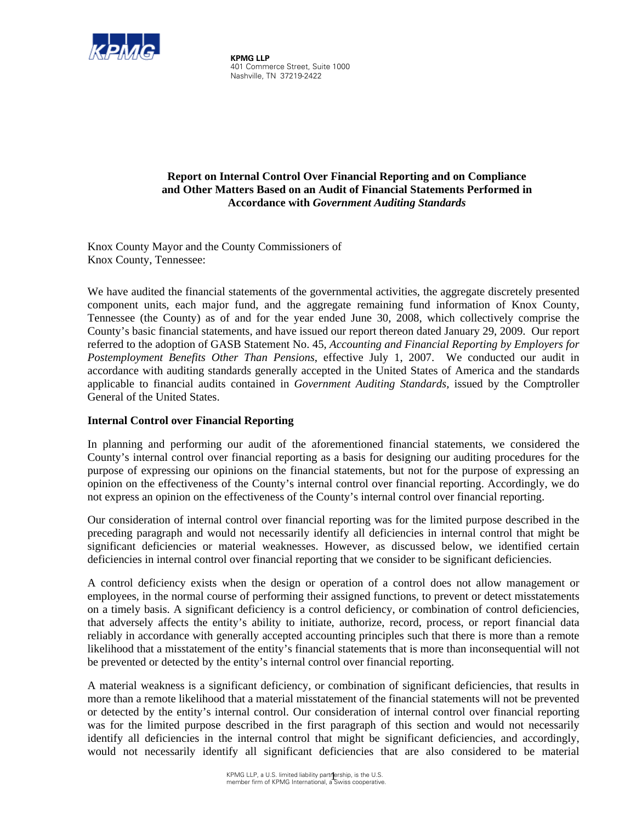

 **KPMG LLP**  401 Commerce Street, Suite 1000 Nashville, TN 37219-2422

## **Report on Internal Control Over Financial Reporting and on Compliance and Other Matters Based on an Audit of Financial Statements Performed in Accordance with** *Government Auditing Standards*

Knox County Mayor and the County Commissioners of Knox County, Tennessee:

We have audited the financial statements of the governmental activities, the aggregate discretely presented component units, each major fund, and the aggregate remaining fund information of Knox County, Tennessee (the County) as of and for the year ended June 30, 2008, which collectively comprise the County's basic financial statements, and have issued our report thereon dated January 29, 2009. Our report referred to the adoption of GASB Statement No. 45, *Accounting and Financial Reporting by Employers for Postemployment Benefits Other Than Pensions*, effective July 1, 2007. We conducted our audit in accordance with auditing standards generally accepted in the United States of America and the standards applicable to financial audits contained in *Government Auditing Standards,* issued by the Comptroller General of the United States.

## **Internal Control over Financial Reporting**

In planning and performing our audit of the aforementioned financial statements, we considered the County's internal control over financial reporting as a basis for designing our auditing procedures for the purpose of expressing our opinions on the financial statements, but not for the purpose of expressing an opinion on the effectiveness of the County's internal control over financial reporting. Accordingly, we do not express an opinion on the effectiveness of the County's internal control over financial reporting.

Our consideration of internal control over financial reporting was for the limited purpose described in the preceding paragraph and would not necessarily identify all deficiencies in internal control that might be significant deficiencies or material weaknesses. However, as discussed below, we identified certain deficiencies in internal control over financial reporting that we consider to be significant deficiencies.

A control deficiency exists when the design or operation of a control does not allow management or employees, in the normal course of performing their assigned functions, to prevent or detect misstatements on a timely basis. A significant deficiency is a control deficiency, or combination of control deficiencies, that adversely affects the entity's ability to initiate, authorize, record, process, or report financial data reliably in accordance with generally accepted accounting principles such that there is more than a remote likelihood that a misstatement of the entity's financial statements that is more than inconsequential will not be prevented or detected by the entity's internal control over financial reporting.

A material weakness is a significant deficiency, or combination of significant deficiencies, that results in more than a remote likelihood that a material misstatement of the financial statements will not be prevented or detected by the entity's internal control. Our consideration of internal control over financial reporting was for the limited purpose described in the first paragraph of this section and would not necessarily identify all deficiencies in the internal control that might be significant deficiencies, and accordingly, would not necessarily identify all significant deficiencies that are also considered to be material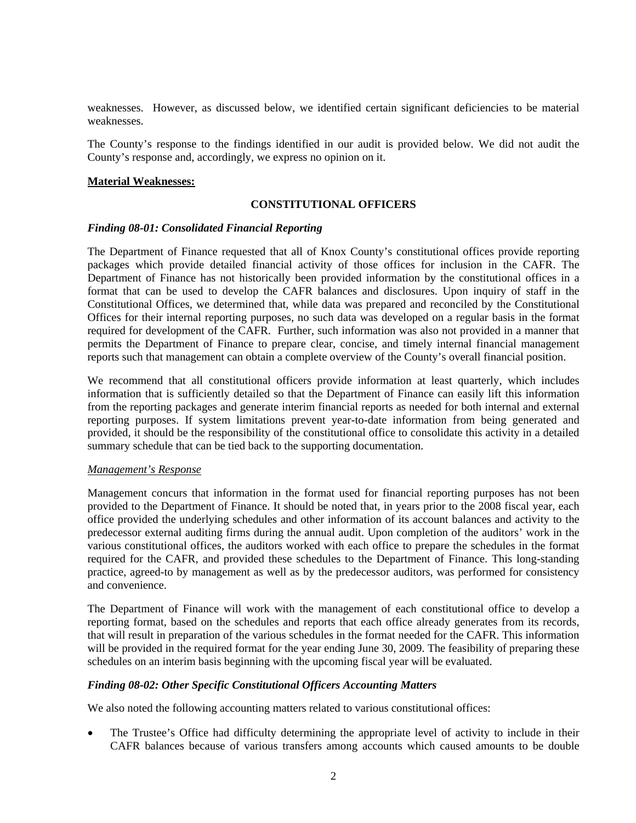weaknesses. However, as discussed below, we identified certain significant deficiencies to be material weaknesses.

The County's response to the findings identified in our audit is provided below*.* We did not audit the County's response and, accordingly, we express no opinion on it.

#### **Material Weaknesses:**

#### **CONSTITUTIONAL OFFICERS**

#### *Finding 08-01: Consolidated Financial Reporting*

The Department of Finance requested that all of Knox County's constitutional offices provide reporting packages which provide detailed financial activity of those offices for inclusion in the CAFR. The Department of Finance has not historically been provided information by the constitutional offices in a format that can be used to develop the CAFR balances and disclosures. Upon inquiry of staff in the Constitutional Offices, we determined that, while data was prepared and reconciled by the Constitutional Offices for their internal reporting purposes, no such data was developed on a regular basis in the format required for development of the CAFR. Further, such information was also not provided in a manner that permits the Department of Finance to prepare clear, concise, and timely internal financial management reports such that management can obtain a complete overview of the County's overall financial position.

We recommend that all constitutional officers provide information at least quarterly, which includes information that is sufficiently detailed so that the Department of Finance can easily lift this information from the reporting packages and generate interim financial reports as needed for both internal and external reporting purposes. If system limitations prevent year-to-date information from being generated and provided, it should be the responsibility of the constitutional office to consolidate this activity in a detailed summary schedule that can be tied back to the supporting documentation.

#### *Management's Response*

Management concurs that information in the format used for financial reporting purposes has not been provided to the Department of Finance. It should be noted that, in years prior to the 2008 fiscal year, each office provided the underlying schedules and other information of its account balances and activity to the predecessor external auditing firms during the annual audit. Upon completion of the auditors' work in the various constitutional offices, the auditors worked with each office to prepare the schedules in the format required for the CAFR, and provided these schedules to the Department of Finance. This long-standing practice, agreed-to by management as well as by the predecessor auditors, was performed for consistency and convenience.

The Department of Finance will work with the management of each constitutional office to develop a reporting format, based on the schedules and reports that each office already generates from its records, that will result in preparation of the various schedules in the format needed for the CAFR. This information will be provided in the required format for the year ending June 30, 2009. The feasibility of preparing these schedules on an interim basis beginning with the upcoming fiscal year will be evaluated.

#### *Finding 08-02: Other Specific Constitutional Officers Accounting Matters*

We also noted the following accounting matters related to various constitutional offices:

• The Trustee's Office had difficulty determining the appropriate level of activity to include in their CAFR balances because of various transfers among accounts which caused amounts to be double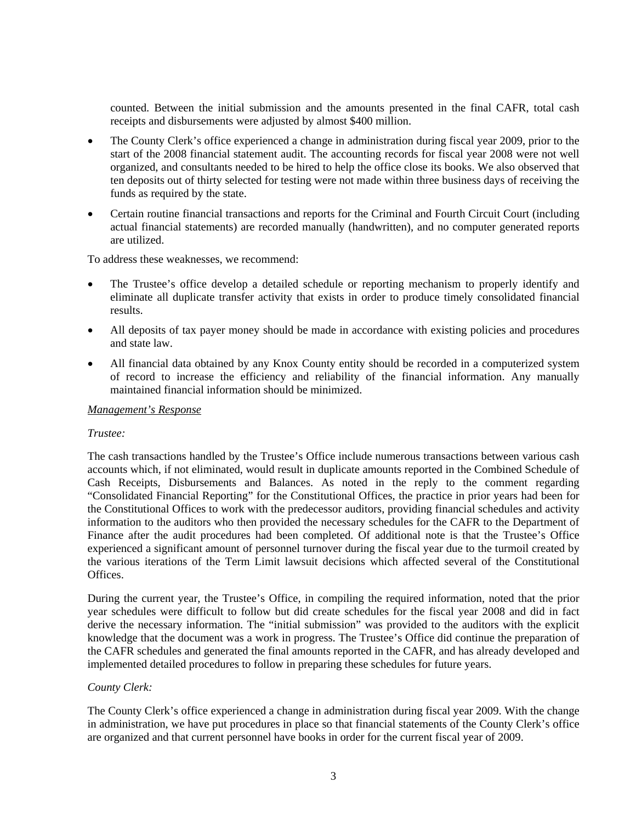counted. Between the initial submission and the amounts presented in the final CAFR, total cash receipts and disbursements were adjusted by almost \$400 million.

- The County Clerk's office experienced a change in administration during fiscal year 2009, prior to the start of the 2008 financial statement audit. The accounting records for fiscal year 2008 were not well organized, and consultants needed to be hired to help the office close its books. We also observed that ten deposits out of thirty selected for testing were not made within three business days of receiving the funds as required by the state.
- Certain routine financial transactions and reports for the Criminal and Fourth Circuit Court (including actual financial statements) are recorded manually (handwritten), and no computer generated reports are utilized.

To address these weaknesses, we recommend:

- The Trustee's office develop a detailed schedule or reporting mechanism to properly identify and eliminate all duplicate transfer activity that exists in order to produce timely consolidated financial results.
- All deposits of tax payer money should be made in accordance with existing policies and procedures and state law.
- All financial data obtained by any Knox County entity should be recorded in a computerized system of record to increase the efficiency and reliability of the financial information. Any manually maintained financial information should be minimized.

#### *Management's Response*

#### *Trustee:*

The cash transactions handled by the Trustee's Office include numerous transactions between various cash accounts which, if not eliminated, would result in duplicate amounts reported in the Combined Schedule of Cash Receipts, Disbursements and Balances. As noted in the reply to the comment regarding "Consolidated Financial Reporting" for the Constitutional Offices, the practice in prior years had been for the Constitutional Offices to work with the predecessor auditors, providing financial schedules and activity information to the auditors who then provided the necessary schedules for the CAFR to the Department of Finance after the audit procedures had been completed. Of additional note is that the Trustee's Office experienced a significant amount of personnel turnover during the fiscal year due to the turmoil created by the various iterations of the Term Limit lawsuit decisions which affected several of the Constitutional **Offices** 

During the current year, the Trustee's Office, in compiling the required information, noted that the prior year schedules were difficult to follow but did create schedules for the fiscal year 2008 and did in fact derive the necessary information. The "initial submission" was provided to the auditors with the explicit knowledge that the document was a work in progress. The Trustee's Office did continue the preparation of the CAFR schedules and generated the final amounts reported in the CAFR, and has already developed and implemented detailed procedures to follow in preparing these schedules for future years.

#### *County Clerk:*

The County Clerk's office experienced a change in administration during fiscal year 2009. With the change in administration, we have put procedures in place so that financial statements of the County Clerk's office are organized and that current personnel have books in order for the current fiscal year of 2009.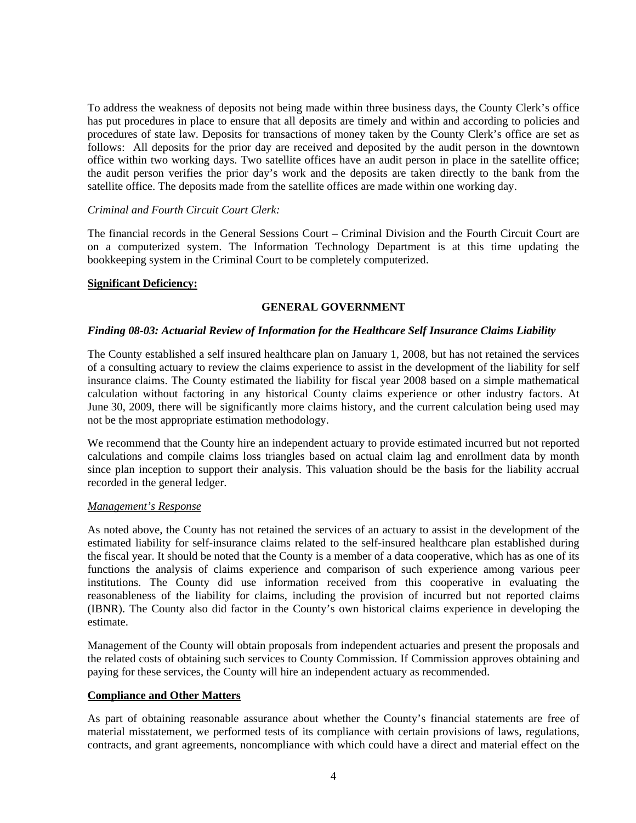To address the weakness of deposits not being made within three business days, the County Clerk's office has put procedures in place to ensure that all deposits are timely and within and according to policies and procedures of state law. Deposits for transactions of money taken by the County Clerk's office are set as follows: All deposits for the prior day are received and deposited by the audit person in the downtown office within two working days. Two satellite offices have an audit person in place in the satellite office; the audit person verifies the prior day's work and the deposits are taken directly to the bank from the satellite office. The deposits made from the satellite offices are made within one working day.

#### *Criminal and Fourth Circuit Court Clerk:*

The financial records in the General Sessions Court – Criminal Division and the Fourth Circuit Court are on a computerized system. The Information Technology Department is at this time updating the bookkeeping system in the Criminal Court to be completely computerized.

#### **Significant Deficiency:**

#### **GENERAL GOVERNMENT**

#### *Finding 08-03: Actuarial Review of Information for the Healthcare Self Insurance Claims Liability*

The County established a self insured healthcare plan on January 1, 2008, but has not retained the services of a consulting actuary to review the claims experience to assist in the development of the liability for self insurance claims. The County estimated the liability for fiscal year 2008 based on a simple mathematical calculation without factoring in any historical County claims experience or other industry factors. At June 30, 2009, there will be significantly more claims history, and the current calculation being used may not be the most appropriate estimation methodology.

We recommend that the County hire an independent actuary to provide estimated incurred but not reported calculations and compile claims loss triangles based on actual claim lag and enrollment data by month since plan inception to support their analysis. This valuation should be the basis for the liability accrual recorded in the general ledger.

#### *Management's Response*

As noted above, the County has not retained the services of an actuary to assist in the development of the estimated liability for self-insurance claims related to the self-insured healthcare plan established during the fiscal year. It should be noted that the County is a member of a data cooperative, which has as one of its functions the analysis of claims experience and comparison of such experience among various peer institutions. The County did use information received from this cooperative in evaluating the reasonableness of the liability for claims, including the provision of incurred but not reported claims (IBNR). The County also did factor in the County's own historical claims experience in developing the estimate.

Management of the County will obtain proposals from independent actuaries and present the proposals and the related costs of obtaining such services to County Commission. If Commission approves obtaining and paying for these services, the County will hire an independent actuary as recommended.

#### **Compliance and Other Matters**

As part of obtaining reasonable assurance about whether the County's financial statements are free of material misstatement, we performed tests of its compliance with certain provisions of laws, regulations, contracts, and grant agreements, noncompliance with which could have a direct and material effect on the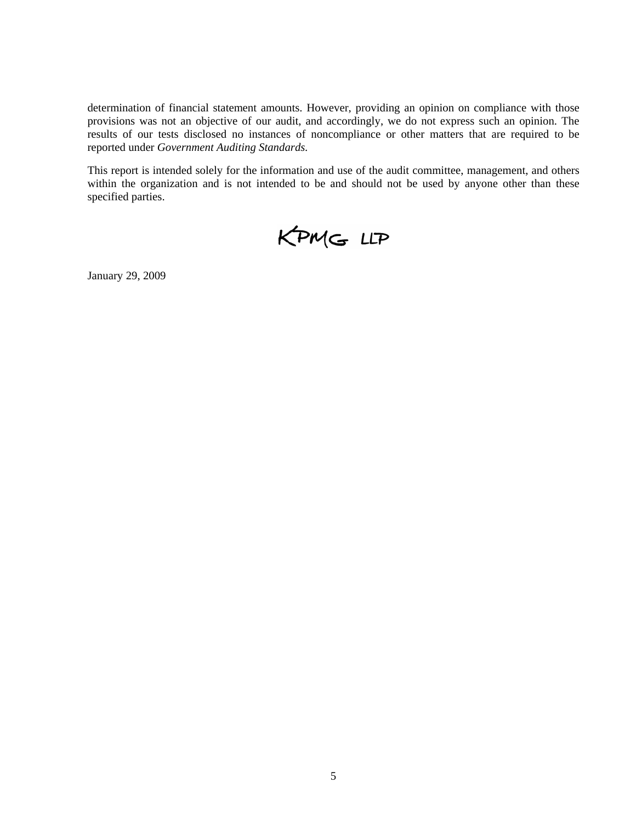determination of financial statement amounts. However, providing an opinion on compliance with those provisions was not an objective of our audit, and accordingly, we do not express such an opinion. The results of our tests disclosed no instances of noncompliance or other matters that are required to be reported under *Government Auditing Standards.*

This report is intended solely for the information and use of the audit committee, management, and others within the organization and is not intended to be and should not be used by anyone other than these specified parties.



January 29, 2009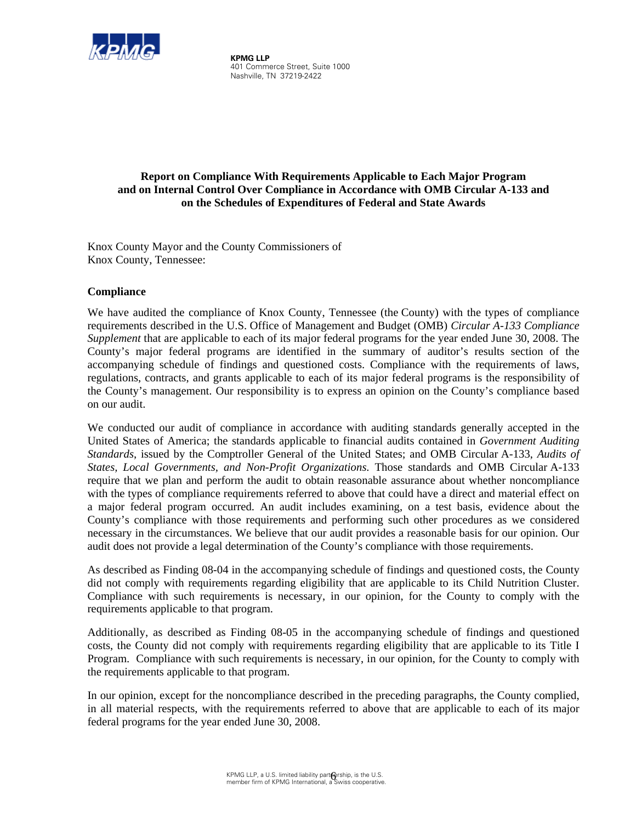

 **KPMG LLP**  401 Commerce Street, Suite 1000 Nashville, TN 37219-2422

## **Report on Compliance With Requirements Applicable to Each Major Program and on Internal Control Over Compliance in Accordance with OMB Circular A-133 and on the Schedules of Expenditures of Federal and State Awards**

Knox County Mayor and the County Commissioners of Knox County, Tennessee:

## **Compliance**

We have audited the compliance of Knox County, Tennessee (the County) with the types of compliance requirements described in the U.S. Office of Management and Budget (OMB) *Circular A-133 Compliance Supplement* that are applicable to each of its major federal programs for the year ended June 30, 2008. The County's major federal programs are identified in the summary of auditor's results section of the accompanying schedule of findings and questioned costs. Compliance with the requirements of laws, regulations, contracts, and grants applicable to each of its major federal programs is the responsibility of the County's management. Our responsibility is to express an opinion on the County's compliance based on our audit.

We conducted our audit of compliance in accordance with auditing standards generally accepted in the United States of America; the standards applicable to financial audits contained in *Government Auditing Standards*, issued by the Comptroller General of the United States; and OMB Circular A-133, *Audits of States, Local Governments, and Non-Profit Organizations*. Those standards and OMB Circular A-133 require that we plan and perform the audit to obtain reasonable assurance about whether noncompliance with the types of compliance requirements referred to above that could have a direct and material effect on a major federal program occurred. An audit includes examining, on a test basis, evidence about the County's compliance with those requirements and performing such other procedures as we considered necessary in the circumstances. We believe that our audit provides a reasonable basis for our opinion. Our audit does not provide a legal determination of the County's compliance with those requirements.

As described as Finding 08-04 in the accompanying schedule of findings and questioned costs, the County did not comply with requirements regarding eligibility that are applicable to its Child Nutrition Cluster. Compliance with such requirements is necessary, in our opinion, for the County to comply with the requirements applicable to that program.

Additionally, as described as Finding 08-05 in the accompanying schedule of findings and questioned costs, the County did not comply with requirements regarding eligibility that are applicable to its Title I Program. Compliance with such requirements is necessary, in our opinion, for the County to comply with the requirements applicable to that program.

In our opinion, except for the noncompliance described in the preceding paragraphs, the County complied, in all material respects, with the requirements referred to above that are applicable to each of its major federal programs for the year ended June 30, 2008.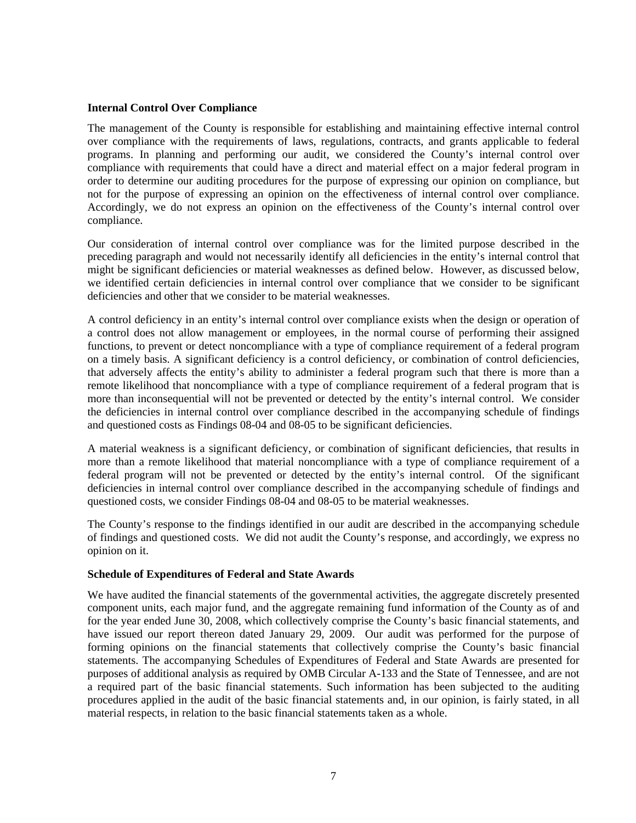#### **Internal Control Over Compliance**

The management of the County is responsible for establishing and maintaining effective internal control over compliance with the requirements of laws, regulations, contracts, and grants applicable to federal programs. In planning and performing our audit, we considered the County's internal control over compliance with requirements that could have a direct and material effect on a major federal program in order to determine our auditing procedures for the purpose of expressing our opinion on compliance, but not for the purpose of expressing an opinion on the effectiveness of internal control over compliance. Accordingly, we do not express an opinion on the effectiveness of the County's internal control over compliance.

Our consideration of internal control over compliance was for the limited purpose described in the preceding paragraph and would not necessarily identify all deficiencies in the entity's internal control that might be significant deficiencies or material weaknesses as defined below. However, as discussed below, we identified certain deficiencies in internal control over compliance that we consider to be significant deficiencies and other that we consider to be material weaknesses.

A control deficiency in an entity's internal control over compliance exists when the design or operation of a control does not allow management or employees, in the normal course of performing their assigned functions, to prevent or detect noncompliance with a type of compliance requirement of a federal program on a timely basis. A significant deficiency is a control deficiency, or combination of control deficiencies, that adversely affects the entity's ability to administer a federal program such that there is more than a remote likelihood that noncompliance with a type of compliance requirement of a federal program that is more than inconsequential will not be prevented or detected by the entity's internal control. We consider the deficiencies in internal control over compliance described in the accompanying schedule of findings and questioned costs as Findings 08-04 and 08-05 to be significant deficiencies.

A material weakness is a significant deficiency, or combination of significant deficiencies, that results in more than a remote likelihood that material noncompliance with a type of compliance requirement of a federal program will not be prevented or detected by the entity's internal control. Of the significant deficiencies in internal control over compliance described in the accompanying schedule of findings and questioned costs, we consider Findings 08-04 and 08-05 to be material weaknesses.

The County's response to the findings identified in our audit are described in the accompanying schedule of findings and questioned costs. We did not audit the County's response, and accordingly, we express no opinion on it.

## **Schedule of Expenditures of Federal and State Awards**

We have audited the financial statements of the governmental activities, the aggregate discretely presented component units, each major fund, and the aggregate remaining fund information of the County as of and for the year ended June 30, 2008, which collectively comprise the County's basic financial statements, and have issued our report thereon dated January 29, 2009. Our audit was performed for the purpose of forming opinions on the financial statements that collectively comprise the County's basic financial statements. The accompanying Schedules of Expenditures of Federal and State Awards are presented for purposes of additional analysis as required by OMB Circular A-133 and the State of Tennessee, and are not a required part of the basic financial statements. Such information has been subjected to the auditing procedures applied in the audit of the basic financial statements and, in our opinion, is fairly stated, in all material respects, in relation to the basic financial statements taken as a whole.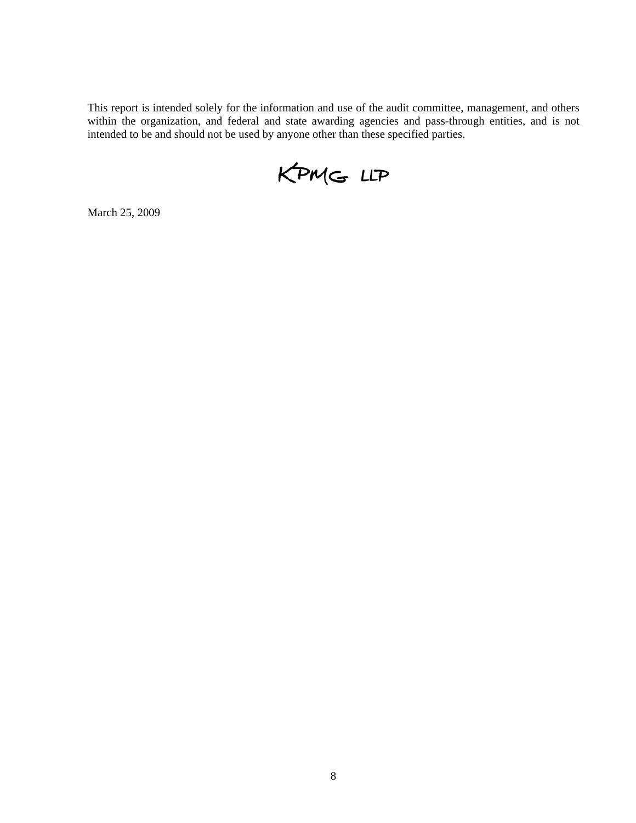This report is intended solely for the information and use of the audit committee, management, and others within the organization, and federal and state awarding agencies and pass-through entities, and is not intended to be and should not be used by anyone other than these specified parties.

KPMG LLP

March 25, 2009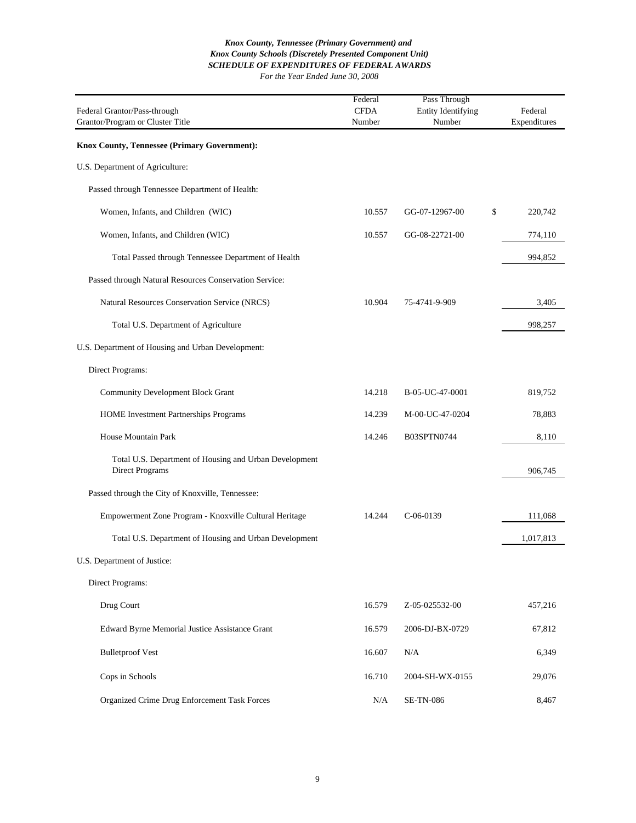| Federal Grantor/Pass-through<br>Grantor/Program or Cluster Title          | Federal<br><b>CFDA</b><br>Number | Pass Through<br><b>Entity Identifying</b><br>Number | Federal<br>Expenditures |
|---------------------------------------------------------------------------|----------------------------------|-----------------------------------------------------|-------------------------|
| Knox County, Tennessee (Primary Government):                              |                                  |                                                     |                         |
| U.S. Department of Agriculture:                                           |                                  |                                                     |                         |
| Passed through Tennessee Department of Health:                            |                                  |                                                     |                         |
| Women, Infants, and Children (WIC)                                        | 10.557                           | GG-07-12967-00                                      | \$<br>220,742           |
| Women, Infants, and Children (WIC)                                        | 10.557                           | GG-08-22721-00                                      | 774,110                 |
| Total Passed through Tennessee Department of Health                       |                                  |                                                     | 994,852                 |
| Passed through Natural Resources Conservation Service:                    |                                  |                                                     |                         |
| Natural Resources Conservation Service (NRCS)                             | 10.904                           | 75-4741-9-909                                       | 3,405                   |
| Total U.S. Department of Agriculture                                      |                                  |                                                     | 998,257                 |
| U.S. Department of Housing and Urban Development:                         |                                  |                                                     |                         |
| Direct Programs:                                                          |                                  |                                                     |                         |
| <b>Community Development Block Grant</b>                                  | 14.218                           | B-05-UC-47-0001                                     | 819,752                 |
| <b>HOME</b> Investment Partnerships Programs                              | 14.239                           | M-00-UC-47-0204                                     | 78,883                  |
| House Mountain Park                                                       | 14.246                           | B03SPTN0744                                         | 8,110                   |
| Total U.S. Department of Housing and Urban Development<br>Direct Programs |                                  |                                                     | 906,745                 |
| Passed through the City of Knoxville, Tennessee:                          |                                  |                                                     |                         |
| Empowerment Zone Program - Knoxville Cultural Heritage                    | 14.244                           | $C-06-0139$                                         | 111,068                 |
| Total U.S. Department of Housing and Urban Development                    |                                  |                                                     | 1,017,813               |
| U.S. Department of Justice:                                               |                                  |                                                     |                         |
| Direct Programs:                                                          |                                  |                                                     |                         |
| Drug Court                                                                | 16.579                           | Z-05-025532-00                                      | 457,216                 |
| Edward Byrne Memorial Justice Assistance Grant                            | 16.579                           | 2006-DJ-BX-0729                                     | 67,812                  |
| <b>Bulletproof Vest</b>                                                   | 16.607                           | N/A                                                 | 6,349                   |
| Cops in Schools                                                           | 16.710                           | 2004-SH-WX-0155                                     | 29,076                  |
| Organized Crime Drug Enforcement Task Forces                              | N/A                              | <b>SE-TN-086</b>                                    | 8,467                   |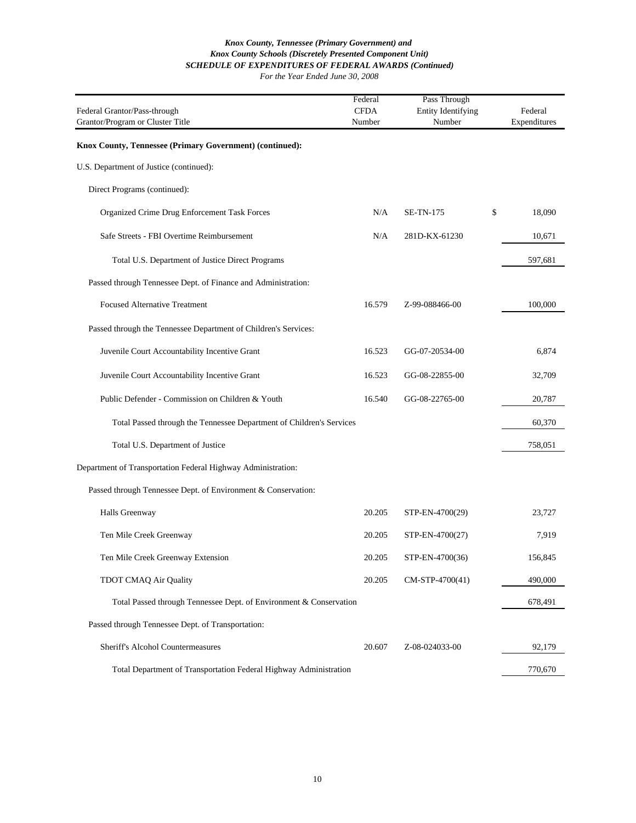#### *SCHEDULE OF EXPENDITURES OF FEDERAL AWARDS (Continued) For the Year Ended June 30, 2008 Knox County Schools (Discretely Presented Component Unit) Knox County, Tennessee (Primary Government) and*

| Federal Grantor/Pass-through<br>Grantor/Program or Cluster Title     | Federal<br><b>CFDA</b><br>Number | Pass Through<br><b>Entity Identifying</b><br>Number | Federal<br>Expenditures |
|----------------------------------------------------------------------|----------------------------------|-----------------------------------------------------|-------------------------|
| Knox County, Tennessee (Primary Government) (continued):             |                                  |                                                     |                         |
| U.S. Department of Justice (continued):                              |                                  |                                                     |                         |
| Direct Programs (continued):                                         |                                  |                                                     |                         |
| Organized Crime Drug Enforcement Task Forces                         | N/A                              | <b>SE-TN-175</b>                                    | \$<br>18,090            |
| Safe Streets - FBI Overtime Reimbursement                            | N/A                              | 281D-KX-61230                                       | 10,671                  |
| Total U.S. Department of Justice Direct Programs                     |                                  |                                                     | 597,681                 |
| Passed through Tennessee Dept. of Finance and Administration:        |                                  |                                                     |                         |
| <b>Focused Alternative Treatment</b>                                 | 16.579                           | Z-99-088466-00                                      | 100,000                 |
| Passed through the Tennessee Department of Children's Services:      |                                  |                                                     |                         |
| Juvenile Court Accountability Incentive Grant                        | 16.523                           | GG-07-20534-00                                      | 6,874                   |
| Juvenile Court Accountability Incentive Grant                        | 16.523                           | GG-08-22855-00                                      | 32,709                  |
| Public Defender - Commission on Children & Youth                     | 16.540                           | GG-08-22765-00                                      | 20,787                  |
| Total Passed through the Tennessee Department of Children's Services |                                  |                                                     | 60,370                  |
| Total U.S. Department of Justice                                     |                                  |                                                     | 758,051                 |
| Department of Transportation Federal Highway Administration:         |                                  |                                                     |                         |
| Passed through Tennessee Dept. of Environment & Conservation:        |                                  |                                                     |                         |
| Halls Greenway                                                       | 20.205                           | STP-EN-4700(29)                                     | 23,727                  |
| Ten Mile Creek Greenway                                              | 20.205                           | STP-EN-4700(27)                                     | 7,919                   |
| Ten Mile Creek Greenway Extension                                    | 20.205                           | STP-EN-4700(36)                                     | 156,845                 |
| <b>TDOT CMAQ Air Quality</b>                                         | 20.205                           | CM-STP-4700(41)                                     | 490,000                 |
| Total Passed through Tennessee Dept. of Environment & Conservation   |                                  |                                                     | 678,491                 |
| Passed through Tennessee Dept. of Transportation:                    |                                  |                                                     |                         |
| Sheriff's Alcohol Countermeasures                                    | 20.607                           | Z-08-024033-00                                      | 92,179                  |
| Total Department of Transportation Federal Highway Administration    |                                  |                                                     | 770,670                 |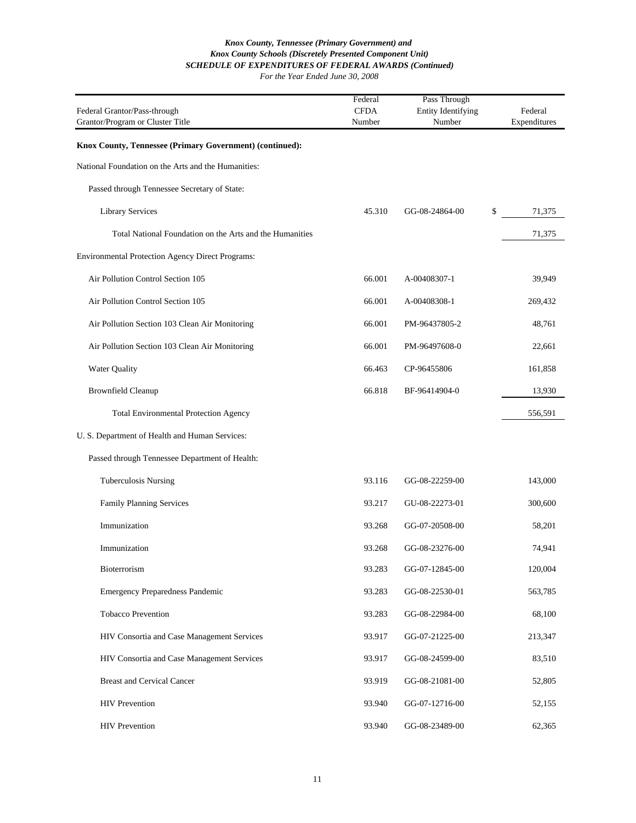| Federal Grantor/Pass-through<br>Grantor/Program or Cluster Title | Federal<br><b>CFDA</b><br>Number | Pass Through<br><b>Entity Identifying</b><br>Number | Federal<br>Expenditures |
|------------------------------------------------------------------|----------------------------------|-----------------------------------------------------|-------------------------|
| Knox County, Tennessee (Primary Government) (continued):         |                                  |                                                     |                         |
| National Foundation on the Arts and the Humanities:              |                                  |                                                     |                         |
| Passed through Tennessee Secretary of State:                     |                                  |                                                     |                         |
| <b>Library Services</b>                                          | 45.310                           | GG-08-24864-00                                      | \$<br>71,375            |
| Total National Foundation on the Arts and the Humanities         |                                  |                                                     | 71,375                  |
| Environmental Protection Agency Direct Programs:                 |                                  |                                                     |                         |
| Air Pollution Control Section 105                                | 66.001                           | A-00408307-1                                        | 39,949                  |
| Air Pollution Control Section 105                                | 66.001                           | A-00408308-1                                        | 269,432                 |
| Air Pollution Section 103 Clean Air Monitoring                   | 66.001                           | PM-96437805-2                                       | 48,761                  |
| Air Pollution Section 103 Clean Air Monitoring                   | 66.001                           | PM-96497608-0                                       | 22,661                  |
| Water Quality                                                    | 66.463                           | CP-96455806                                         | 161,858                 |
| <b>Brownfield Cleanup</b>                                        | 66.818                           | BF-96414904-0                                       | 13,930                  |
| <b>Total Environmental Protection Agency</b>                     |                                  |                                                     | 556,591                 |
| U. S. Department of Health and Human Services:                   |                                  |                                                     |                         |
| Passed through Tennessee Department of Health:                   |                                  |                                                     |                         |
| <b>Tuberculosis Nursing</b>                                      | 93.116                           | GG-08-22259-00                                      | 143,000                 |
| Family Planning Services                                         | 93.217                           | GU-08-22273-01                                      | 300,600                 |
| Immunization                                                     | 93.268                           | GG-07-20508-00                                      | 58,201                  |
| Immunization                                                     | 93.268                           | GG-08-23276-00                                      | 74,941                  |
| Bioterrorism                                                     | 93.283                           | GG-07-12845-00                                      | 120,004                 |
| <b>Emergency Preparedness Pandemic</b>                           | 93.283                           | GG-08-22530-01                                      | 563,785                 |
| Tobacco Prevention                                               | 93.283                           | GG-08-22984-00                                      | 68,100                  |
| HIV Consortia and Case Management Services                       | 93.917                           | GG-07-21225-00                                      | 213,347                 |
| HIV Consortia and Case Management Services                       | 93.917                           | GG-08-24599-00                                      | 83,510                  |
| <b>Breast and Cervical Cancer</b>                                | 93.919                           | GG-08-21081-00                                      | 52,805                  |
| <b>HIV</b> Prevention                                            | 93.940                           | GG-07-12716-00                                      | 52,155                  |
| <b>HIV</b> Prevention                                            | 93.940                           | GG-08-23489-00                                      | 62,365                  |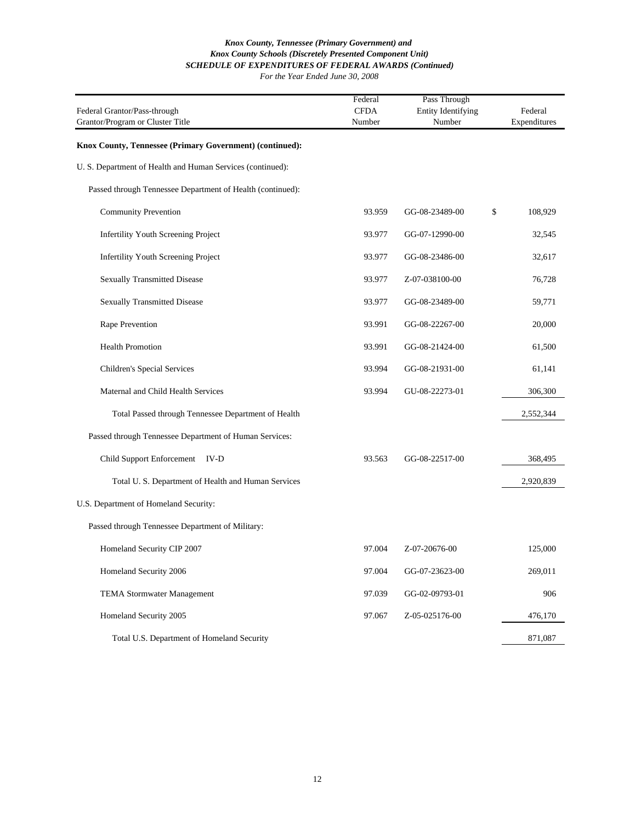| Federal Grantor/Pass-through<br>Grantor/Program or Cluster Title | Federal<br><b>CFDA</b><br>Number | Pass Through<br><b>Entity Identifying</b><br>Number | Federal<br>Expenditures |
|------------------------------------------------------------------|----------------------------------|-----------------------------------------------------|-------------------------|
| Knox County, Tennessee (Primary Government) (continued):         |                                  |                                                     |                         |
| U. S. Department of Health and Human Services (continued):       |                                  |                                                     |                         |
| Passed through Tennessee Department of Health (continued):       |                                  |                                                     |                         |
| <b>Community Prevention</b>                                      | 93.959                           | GG-08-23489-00                                      | \$<br>108,929           |
| <b>Infertility Youth Screening Project</b>                       | 93.977                           | GG-07-12990-00                                      | 32,545                  |
| Infertility Youth Screening Project                              | 93.977                           | GG-08-23486-00                                      | 32,617                  |
| <b>Sexually Transmitted Disease</b>                              | 93.977                           | Z-07-038100-00                                      | 76,728                  |
| <b>Sexually Transmitted Disease</b>                              | 93.977                           | GG-08-23489-00                                      | 59,771                  |
| Rape Prevention                                                  | 93.991                           | GG-08-22267-00                                      | 20,000                  |
| <b>Health Promotion</b>                                          | 93.991                           | GG-08-21424-00                                      | 61,500                  |
| Children's Special Services                                      | 93.994                           | GG-08-21931-00                                      | 61,141                  |
| Maternal and Child Health Services                               | 93.994                           | GU-08-22273-01                                      | 306,300                 |
| Total Passed through Tennessee Department of Health              |                                  |                                                     | 2,552,344               |
| Passed through Tennessee Department of Human Services:           |                                  |                                                     |                         |
| Child Support Enforcement IV-D                                   | 93.563                           | GG-08-22517-00                                      | 368,495                 |
| Total U.S. Department of Health and Human Services               |                                  |                                                     | 2,920,839               |
| U.S. Department of Homeland Security:                            |                                  |                                                     |                         |
| Passed through Tennessee Department of Military:                 |                                  |                                                     |                         |
| Homeland Security CIP 2007                                       | 97.004                           | Z-07-20676-00                                       | 125,000                 |
| Homeland Security 2006                                           | 97.004                           | GG-07-23623-00                                      | 269,011                 |
| TEMA Stormwater Management                                       | 97.039                           | GG-02-09793-01                                      | 906                     |
| Homeland Security 2005                                           | 97.067                           | Z-05-025176-00                                      | 476,170                 |
| Total U.S. Department of Homeland Security                       |                                  |                                                     | 871,087                 |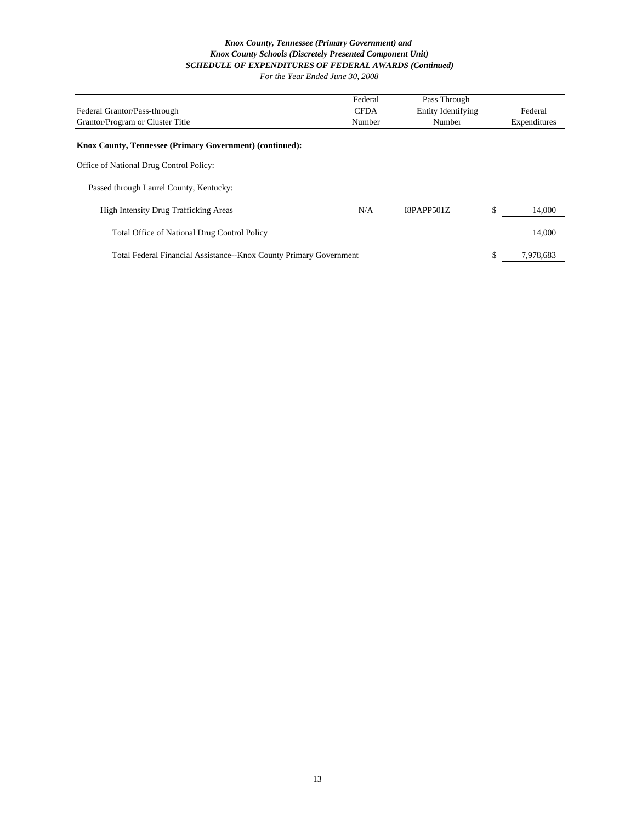|                                                                    | Federal     | Pass Through              |                 |
|--------------------------------------------------------------------|-------------|---------------------------|-----------------|
| Federal Grantor/Pass-through                                       | <b>CFDA</b> | <b>Entity Identifying</b> | Federal         |
| Grantor/Program or Cluster Title                                   | Number      | Number                    | Expenditures    |
| Knox County, Tennessee (Primary Government) (continued):           |             |                           |                 |
| Office of National Drug Control Policy:                            |             |                           |                 |
| Passed through Laurel County, Kentucky:                            |             |                           |                 |
| <b>High Intensity Drug Trafficking Areas</b>                       | N/A         | <b>I8PAPP501Z</b>         | \$<br>14,000    |
| <b>Total Office of National Drug Control Policy</b>                |             |                           | 14,000          |
| Total Federal Financial Assistance--Knox County Primary Government |             |                           | \$<br>7.978.683 |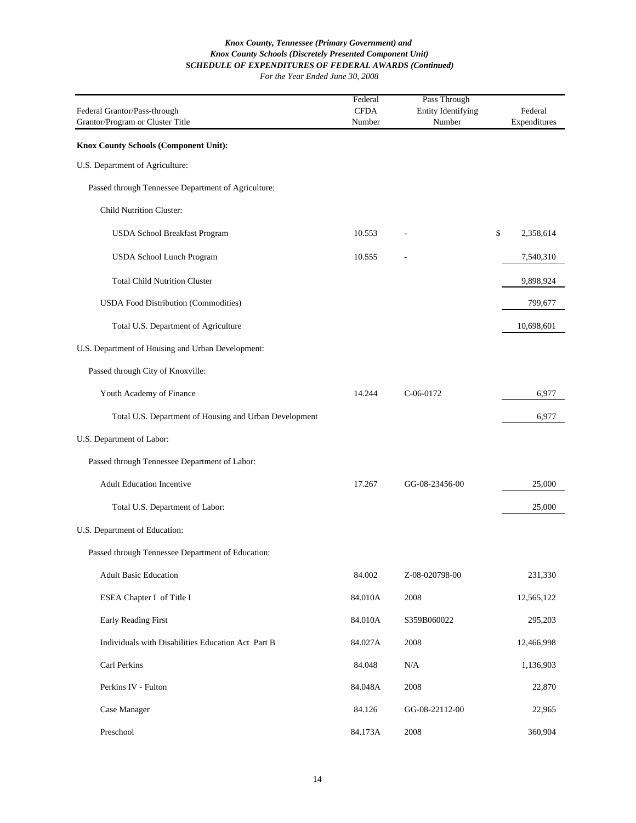| Federal Grantor/Pass-through<br>Grantor/Program or Cluster Title | Federal<br><b>CFDA</b><br>Number | Pass Through<br><b>Entity Identifying</b><br>Number | Federal<br>Expenditures |
|------------------------------------------------------------------|----------------------------------|-----------------------------------------------------|-------------------------|
| Knox County Schools (Component Unit):                            |                                  |                                                     |                         |
| U.S. Department of Agriculture:                                  |                                  |                                                     |                         |
| Passed through Tennessee Department of Agriculture:              |                                  |                                                     |                         |
| <b>Child Nutrition Cluster:</b>                                  |                                  |                                                     |                         |
| USDA School Breakfast Program                                    | 10.553                           |                                                     | \$<br>2,358,614         |
| USDA School Lunch Program                                        | 10.555                           |                                                     | 7,540,310               |
| <b>Total Child Nutrition Cluster</b>                             |                                  |                                                     | 9,898,924               |
| <b>USDA Food Distribution (Commodities)</b>                      |                                  |                                                     | 799,677                 |
| Total U.S. Department of Agriculture                             |                                  |                                                     | 10,698,601              |
| U.S. Department of Housing and Urban Development:                |                                  |                                                     |                         |
| Passed through City of Knoxville:                                |                                  |                                                     |                         |
| Youth Academy of Finance                                         | 14.244                           | $C-06-0172$                                         | 6,977                   |
| Total U.S. Department of Housing and Urban Development           |                                  |                                                     | 6,977                   |
| U.S. Department of Labor:                                        |                                  |                                                     |                         |
| Passed through Tennessee Department of Labor:                    |                                  |                                                     |                         |
| <b>Adult Education Incentive</b>                                 | 17.267                           | GG-08-23456-00                                      | 25,000                  |
| Total U.S. Department of Labor:                                  |                                  |                                                     | 25,000                  |
| U.S. Department of Education:                                    |                                  |                                                     |                         |
| Passed through Tennessee Department of Education:                |                                  |                                                     |                         |
| <b>Adult Basic Education</b>                                     | 84.002                           | Z-08-020798-00                                      | 231,330                 |
| ESEA Chapter I of Title I                                        | 84.010A                          | 2008                                                | 12,565,122              |
| Early Reading First                                              | 84.010A                          | S359B060022                                         | 295,203                 |
| Individuals with Disabilities Education Act Part B               | 84.027A                          | 2008                                                | 12,466,998              |
| Carl Perkins                                                     | 84.048                           | N/A                                                 | 1,136,903               |
| Perkins IV - Fulton                                              | 84.048A                          | 2008                                                | 22,870                  |
| Case Manager                                                     | 84.126                           | GG-08-22112-00                                      | 22,965                  |
| Preschool                                                        | 84.173A                          | 2008                                                | 360,904                 |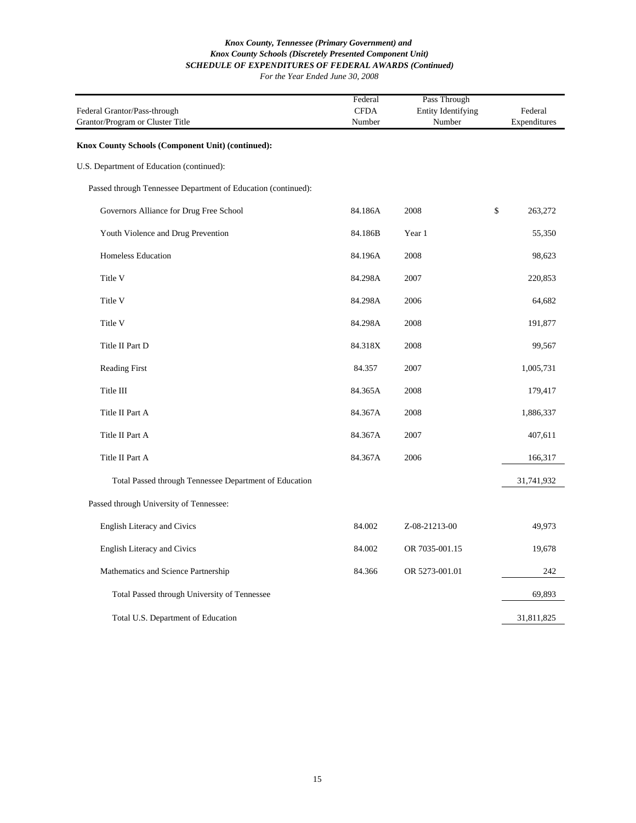| Federal Grantor/Pass-through<br>Grantor/Program or Cluster Title | Federal<br><b>CFDA</b><br>Number | Pass Through<br><b>Entity Identifying</b><br>Number | Federal<br>Expenditures |         |
|------------------------------------------------------------------|----------------------------------|-----------------------------------------------------|-------------------------|---------|
| Knox County Schools (Component Unit) (continued):                |                                  |                                                     |                         |         |
| U.S. Department of Education (continued):                        |                                  |                                                     |                         |         |
| Passed through Tennessee Department of Education (continued):    |                                  |                                                     |                         |         |
| Governors Alliance for Drug Free School                          | 84.186A                          | 2008                                                | \$                      | 263,272 |
| Youth Violence and Drug Prevention                               | 84.186B                          | Year 1                                              |                         | 55,350  |
| Homeless Education                                               | 84.196A                          | 2008                                                |                         | 98,623  |
| Title V                                                          | 84.298A                          | 2007                                                |                         | 220,853 |
| Title V                                                          | 84.298A                          | 2006                                                |                         | 64,682  |
| Title V                                                          | 84.298A                          | 2008                                                |                         | 191,877 |
| Title II Part D                                                  | 84.318X                          | 2008                                                |                         | 99,567  |
| <b>Reading First</b>                                             | 84.357                           | 2007                                                | 1,005,731               |         |
| Title III                                                        | 84.365A                          | 2008                                                |                         | 179,417 |
| Title II Part A                                                  | 84.367A                          | 2008                                                | 1,886,337               |         |
| Title II Part A                                                  | 84.367A                          | 2007                                                |                         | 407,611 |
| Title II Part A                                                  | 84.367A                          | 2006                                                |                         | 166,317 |
| Total Passed through Tennessee Department of Education           |                                  |                                                     | 31,741,932              |         |
| Passed through University of Tennessee:                          |                                  |                                                     |                         |         |
| <b>English Literacy and Civics</b>                               | 84.002                           | Z-08-21213-00                                       |                         | 49,973  |
| English Literacy and Civics                                      | 84.002                           | OR 7035-001.15                                      |                         | 19,678  |
| Mathematics and Science Partnership                              | 84.366                           | OR 5273-001.01                                      |                         | 242     |
| Total Passed through University of Tennessee                     |                                  |                                                     |                         | 69,893  |
| Total U.S. Department of Education                               |                                  |                                                     | 31,811,825              |         |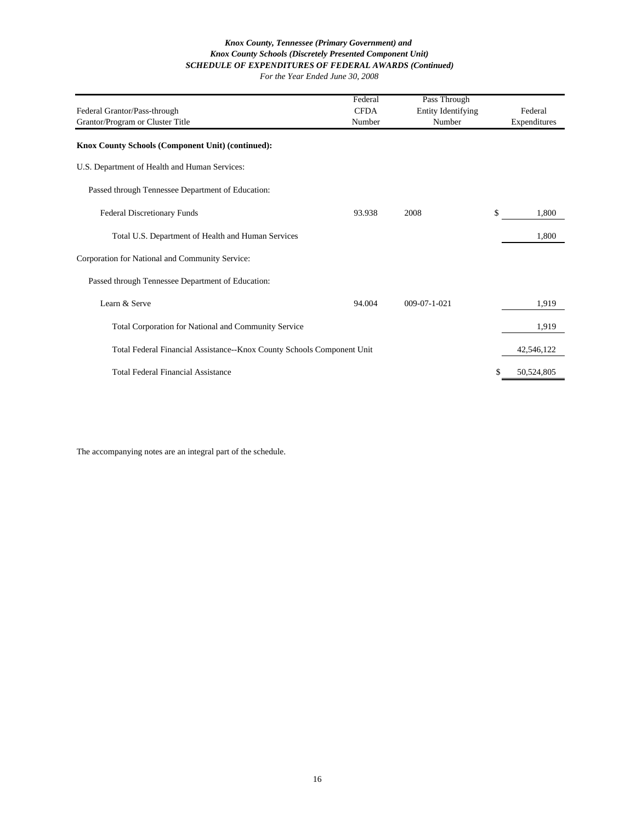| Federal Grantor/Pass-through                                           | Federal<br><b>CFDA</b> | Pass Through<br><b>Entity Identifying</b> | Federal          |
|------------------------------------------------------------------------|------------------------|-------------------------------------------|------------------|
| Grantor/Program or Cluster Title                                       | Number                 | Number                                    | Expenditures     |
| Knox County Schools (Component Unit) (continued):                      |                        |                                           |                  |
| U.S. Department of Health and Human Services:                          |                        |                                           |                  |
| Passed through Tennessee Department of Education:                      |                        |                                           |                  |
| <b>Federal Discretionary Funds</b>                                     | 93.938                 | 2008                                      | \$<br>1,800      |
| Total U.S. Department of Health and Human Services                     |                        |                                           | 1,800            |
| Corporation for National and Community Service:                        |                        |                                           |                  |
| Passed through Tennessee Department of Education:                      |                        |                                           |                  |
| Learn & Serve                                                          | 94.004                 | $009 - 07 - 1 - 021$                      | 1,919            |
| <b>Total Corporation for National and Community Service</b>            |                        |                                           | 1,919            |
| Total Federal Financial Assistance--Knox County Schools Component Unit |                        |                                           | 42,546,122       |
| Total Federal Financial Assistance                                     |                        |                                           | \$<br>50,524,805 |

The accompanying notes are an integral part of the schedule.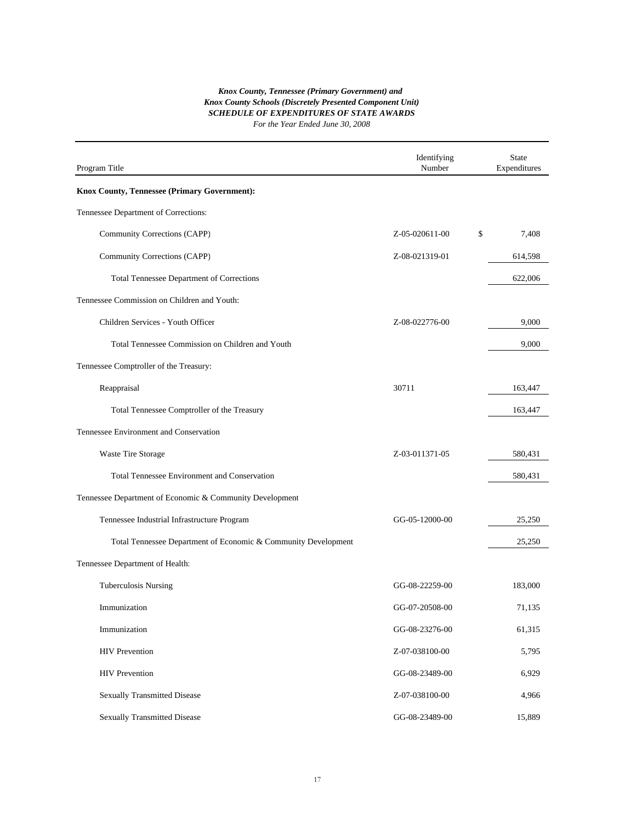| Program Title                                                  | Identifying<br>Number | <b>State</b><br>Expenditures |
|----------------------------------------------------------------|-----------------------|------------------------------|
| Knox County, Tennessee (Primary Government):                   |                       |                              |
| Tennessee Department of Corrections:                           |                       |                              |
| Community Corrections (CAPP)                                   | Z-05-020611-00        | \$<br>7,408                  |
| Community Corrections (CAPP)                                   | Z-08-021319-01        | 614,598                      |
| <b>Total Tennessee Department of Corrections</b>               |                       | 622,006                      |
| Tennessee Commission on Children and Youth:                    |                       |                              |
| Children Services - Youth Officer                              | Z-08-022776-00        | 9,000                        |
| Total Tennessee Commission on Children and Youth               |                       | 9,000                        |
| Tennessee Comptroller of the Treasury:                         |                       |                              |
| Reappraisal                                                    | 30711                 | 163,447                      |
| Total Tennessee Comptroller of the Treasury                    |                       | 163,447                      |
| Tennessee Environment and Conservation                         |                       |                              |
| Waste Tire Storage                                             | Z-03-011371-05        | 580,431                      |
| <b>Total Tennessee Environment and Conservation</b>            |                       | 580,431                      |
| Tennessee Department of Economic & Community Development       |                       |                              |
| Tennessee Industrial Infrastructure Program                    | GG-05-12000-00        | 25,250                       |
| Total Tennessee Department of Economic & Community Development |                       | 25,250                       |
| Tennessee Department of Health:                                |                       |                              |
| <b>Tuberculosis Nursing</b>                                    | GG-08-22259-00        | 183,000                      |
| Immunization                                                   | GG-07-20508-00        | 71,135                       |
| Immunization                                                   | GG-08-23276-00        | 61,315                       |
| <b>HIV</b> Prevention                                          | Z-07-038100-00        | 5,795                        |
| <b>HIV</b> Prevention                                          | GG-08-23489-00        | 6,929                        |
| <b>Sexually Transmitted Disease</b>                            | Z-07-038100-00        | 4,966                        |
| <b>Sexually Transmitted Disease</b>                            | GG-08-23489-00        | 15,889                       |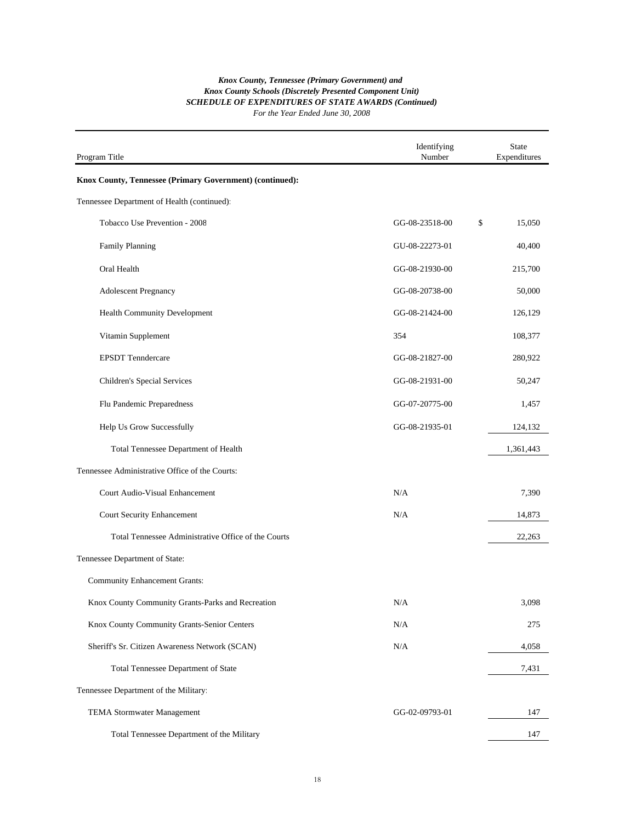#### *SCHEDULE OF EXPENDITURES OF STATE AWARDS (Continued) For the Year Ended June 30, 2008 Knox County Schools (Discretely Presented Component Unit) Knox County, Tennessee (Primary Government) and*

| Program Title                                            | Identifying<br>Number | <b>State</b><br>Expenditures |
|----------------------------------------------------------|-----------------------|------------------------------|
| Knox County, Tennessee (Primary Government) (continued): |                       |                              |
| Tennessee Department of Health (continued):              |                       |                              |
| Tobacco Use Prevention - 2008                            | GG-08-23518-00        | \$<br>15,050                 |
| Family Planning                                          | GU-08-22273-01        | 40,400                       |
| Oral Health                                              | GG-08-21930-00        | 215,700                      |
| <b>Adolescent Pregnancy</b>                              | GG-08-20738-00        | 50,000                       |
| Health Community Development                             | GG-08-21424-00        | 126,129                      |
| Vitamin Supplement                                       | 354                   | 108,377                      |
| <b>EPSDT</b> Tenndercare                                 | GG-08-21827-00        | 280,922                      |
| Children's Special Services                              | GG-08-21931-00        | 50,247                       |
| Flu Pandemic Preparedness                                | GG-07-20775-00        | 1,457                        |
| Help Us Grow Successfully                                | GG-08-21935-01        | 124,132                      |
| Total Tennessee Department of Health                     |                       | 1,361,443                    |
| Tennessee Administrative Office of the Courts:           |                       |                              |
| Court Audio-Visual Enhancement                           | N/A                   | 7,390                        |
| <b>Court Security Enhancement</b>                        | N/A                   | 14,873                       |
| Total Tennessee Administrative Office of the Courts      |                       | 22,263                       |
| Tennessee Department of State:                           |                       |                              |
| <b>Community Enhancement Grants:</b>                     |                       |                              |
| Knox County Community Grants-Parks and Recreation        | N/A                   | 3,098                        |
| Knox County Community Grants-Senior Centers              | N/A                   | 275                          |
| Sheriff's Sr. Citizen Awareness Network (SCAN)           | N/A                   | 4,058                        |
| Total Tennessee Department of State                      |                       | 7,431                        |
| Tennessee Department of the Military:                    |                       |                              |
| <b>TEMA Stormwater Management</b>                        | GG-02-09793-01        | 147                          |
| Total Tennessee Department of the Military               |                       | 147                          |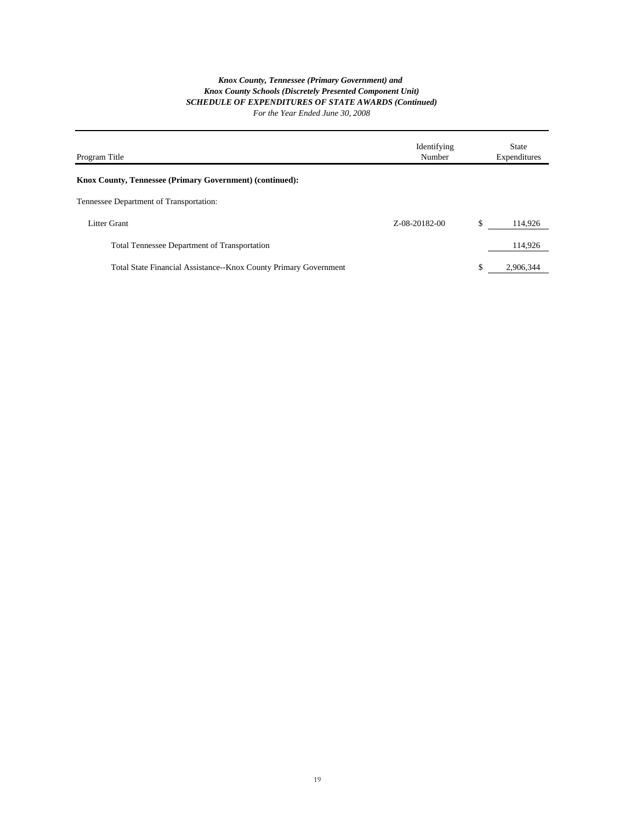| Program Title                                                    | Identifying<br>Number | <b>State</b><br>Expenditures |
|------------------------------------------------------------------|-----------------------|------------------------------|
| <b>Knox County, Tennessee (Primary Government) (continued):</b>  |                       |                              |
| Tennessee Department of Transportation:                          |                       |                              |
| Litter Grant                                                     | 7-08-20182-00         | \$<br>114,926                |
| <b>Total Tennessee Department of Transportation</b>              |                       | 114,926                      |
| Total State Financial Assistance--Knox County Primary Government |                       | \$<br>2.906.344              |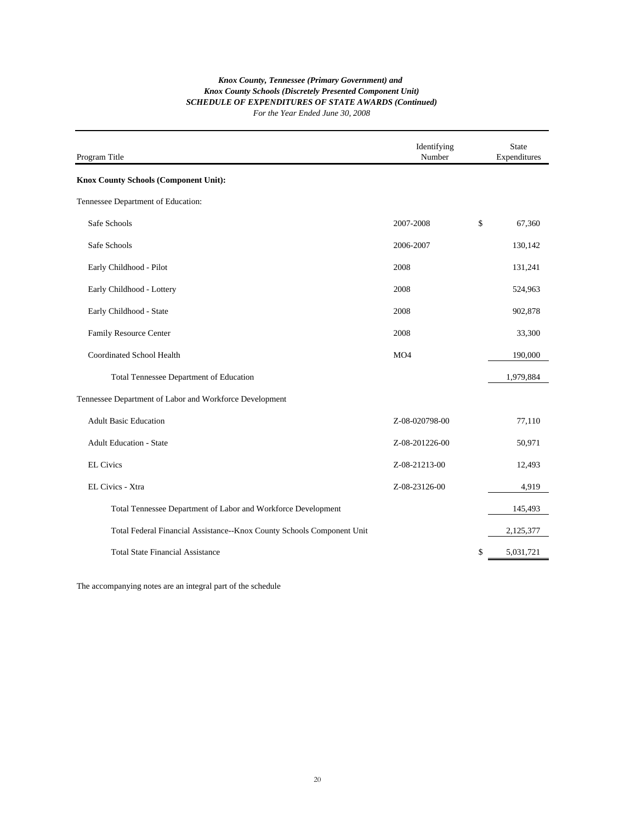| Program Title                                                          | Identifying<br>Number | <b>State</b><br>Expenditures |
|------------------------------------------------------------------------|-----------------------|------------------------------|
| Knox County Schools (Component Unit):                                  |                       |                              |
| Tennessee Department of Education:                                     |                       |                              |
| Safe Schools                                                           | 2007-2008             | \$<br>67,360                 |
| Safe Schools                                                           | 2006-2007             | 130,142                      |
| Early Childhood - Pilot                                                | 2008                  | 131,241                      |
| Early Childhood - Lottery                                              | 2008                  | 524,963                      |
| Early Childhood - State                                                | 2008                  | 902,878                      |
| Family Resource Center                                                 | 2008                  | 33,300                       |
| Coordinated School Health                                              | MO4                   | 190,000                      |
| Total Tennessee Department of Education                                |                       | 1,979,884                    |
| Tennessee Department of Labor and Workforce Development                |                       |                              |
| <b>Adult Basic Education</b>                                           | Z-08-020798-00        | 77,110                       |
| <b>Adult Education - State</b>                                         | Z-08-201226-00        | 50,971                       |
| <b>EL Civics</b>                                                       | Z-08-21213-00         | 12,493                       |
| EL Civics - Xtra                                                       | Z-08-23126-00         | 4,919                        |
| Total Tennessee Department of Labor and Workforce Development          |                       | 145,493                      |
| Total Federal Financial Assistance--Knox County Schools Component Unit |                       | 2,125,377                    |
| <b>Total State Financial Assistance</b>                                |                       | \$<br>5,031,721              |

The accompanying notes are an integral part of the schedule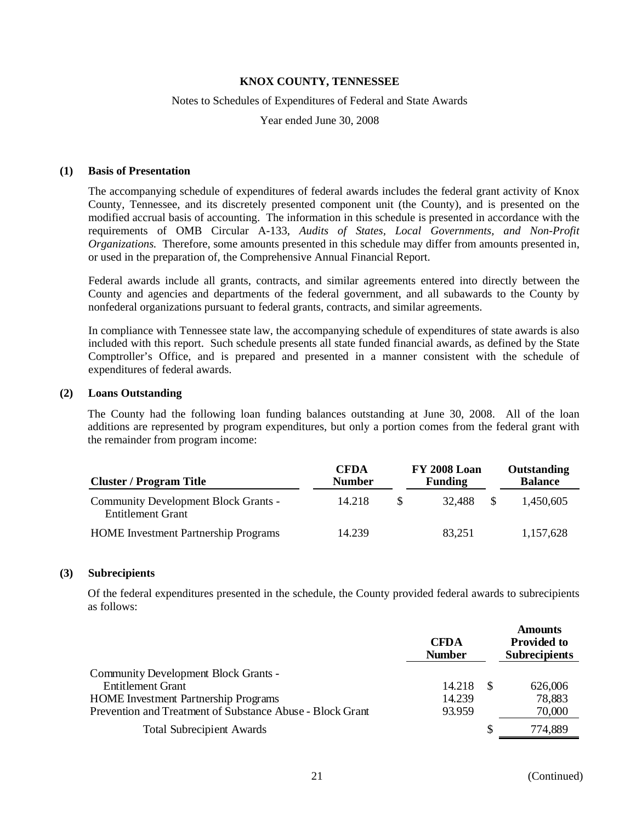#### Notes to Schedules of Expenditures of Federal and State Awards

Year ended June 30, 2008

#### **(1) Basis of Presentation**

The accompanying schedule of expenditures of federal awards includes the federal grant activity of Knox County, Tennessee, and its discretely presented component unit (the County), and is presented on the modified accrual basis of accounting. The information in this schedule is presented in accordance with the requirements of OMB Circular A-133, *Audits of States, Local Governments, and Non-Profit Organizations.* Therefore, some amounts presented in this schedule may differ from amounts presented in, or used in the preparation of, the Comprehensive Annual Financial Report.

Federal awards include all grants, contracts, and similar agreements entered into directly between the County and agencies and departments of the federal government, and all subawards to the County by nonfederal organizations pursuant to federal grants, contracts, and similar agreements.

In compliance with Tennessee state law, the accompanying schedule of expenditures of state awards is also included with this report. Such schedule presents all state funded financial awards, as defined by the State Comptroller's Office, and is prepared and presented in a manner consistent with the schedule of expenditures of federal awards.

#### **(2) Loans Outstanding**

The County had the following loan funding balances outstanding at June 30, 2008. All of the loan additions are represented by program expenditures, but only a portion comes from the federal grant with the remainder from program income:

| <b>Cluster / Program Title</b>                                          | <b>CFDA</b><br><b>Number</b> |          | <b>FY 2008 Loan</b><br><b>Funding</b> |    | Outstanding<br><b>Balance</b> |
|-------------------------------------------------------------------------|------------------------------|----------|---------------------------------------|----|-------------------------------|
| <b>Community Development Block Grants -</b><br><b>Entitlement Grant</b> | 14.218                       | <b>S</b> | 32.488                                | -S | 1.450.605                     |
| <b>HOME</b> Investment Partnership Programs                             | 14.239                       |          | 83.251                                |    | 1,157,628                     |

#### **(3) Subrecipients**

Of the federal expenditures presented in the schedule, the County provided federal awards to subrecipients as follows:

|                                                                  | <b>CFDA</b><br><b>Number</b> | <b>Amounts</b><br><b>Provided to</b><br><b>Subrecipients</b> |
|------------------------------------------------------------------|------------------------------|--------------------------------------------------------------|
| Community Development Block Grants -<br><b>Entitlement Grant</b> | 14.218                       | 626,006                                                      |
| <b>HOME</b> Investment Partnership Programs                      | 14.239                       | 78,883                                                       |
| Prevention and Treatment of Substance Abuse - Block Grant        | 93.959                       | 70,000                                                       |
| <b>Total Subrecipient Awards</b>                                 |                              | 774,889                                                      |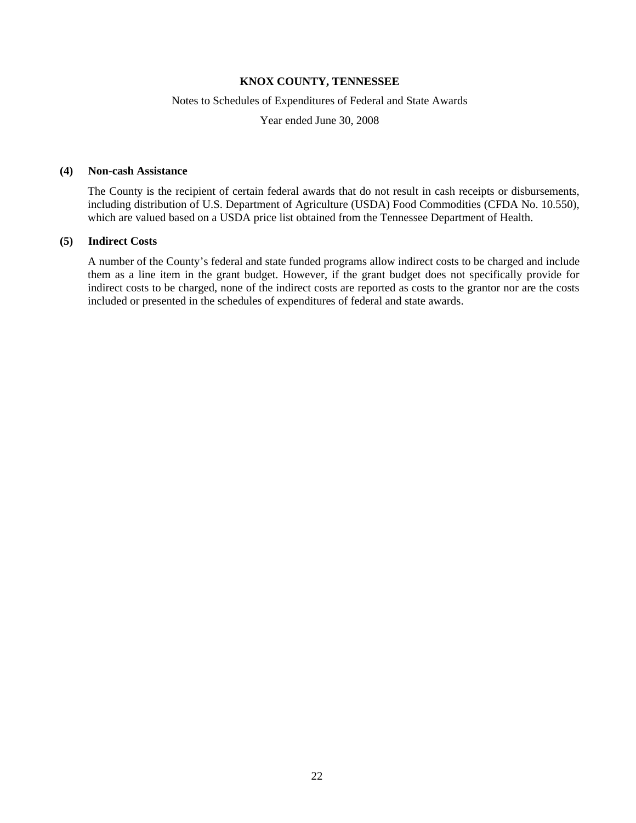#### Notes to Schedules of Expenditures of Federal and State Awards

Year ended June 30, 2008

#### **(4) Non-cash Assistance**

The County is the recipient of certain federal awards that do not result in cash receipts or disbursements, including distribution of U.S. Department of Agriculture (USDA) Food Commodities (CFDA No. 10.550), which are valued based on a USDA price list obtained from the Tennessee Department of Health.

#### **(5) Indirect Costs**

A number of the County's federal and state funded programs allow indirect costs to be charged and include them as a line item in the grant budget. However, if the grant budget does not specifically provide for indirect costs to be charged, none of the indirect costs are reported as costs to the grantor nor are the costs included or presented in the schedules of expenditures of federal and state awards.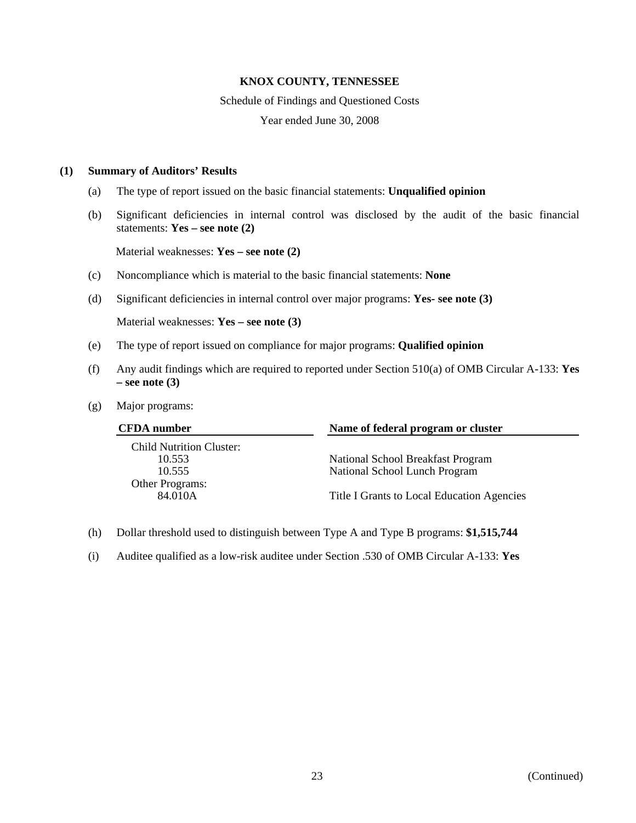#### Schedule of Findings and Questioned Costs

Year ended June 30, 2008

#### **(1) Summary of Auditors' Results**

- (a) The type of report issued on the basic financial statements: **Unqualified opinion**
- (b) Significant deficiencies in internal control was disclosed by the audit of the basic financial statements: **Yes – see note (2)**

Material weaknesses: **Yes – see note (2)**

- (c) Noncompliance which is material to the basic financial statements: **None**
- (d) Significant deficiencies in internal control over major programs: **Yes- see note (3)**

Material weaknesses: **Yes – see note (3)**

- (e) The type of report issued on compliance for major programs: **Qualified opinion**
- (f) Any audit findings which are required to reported under Section 510(a) of OMB Circular A-133: **Yes – see note (3)**
- (g) Major programs:

| Name of federal program or cluster<br><b>CFDA</b> number |                                            |  |
|----------------------------------------------------------|--------------------------------------------|--|
| <b>Child Nutrition Cluster:</b>                          |                                            |  |
| 10.553                                                   | National School Breakfast Program          |  |
| 10.555                                                   | National School Lunch Program              |  |
| Other Programs:                                          |                                            |  |
| 84.010A                                                  | Title I Grants to Local Education Agencies |  |

- (h) Dollar threshold used to distinguish between Type A and Type B programs: **\$1,515,744**
- (i) Auditee qualified as a low-risk auditee under Section .530 of OMB Circular A-133: **Yes**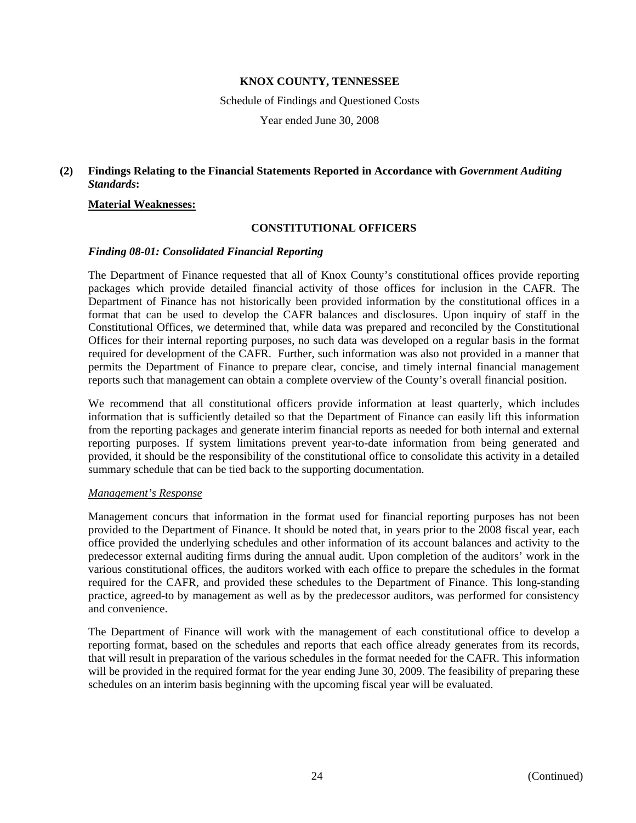Schedule of Findings and Questioned Costs

Year ended June 30, 2008

## **(2) Findings Relating to the Financial Statements Reported in Accordance with** *Government Auditing Standards***:**

#### **Material Weaknesses:**

#### **CONSTITUTIONAL OFFICERS**

#### *Finding 08-01: Consolidated Financial Reporting*

The Department of Finance requested that all of Knox County's constitutional offices provide reporting packages which provide detailed financial activity of those offices for inclusion in the CAFR. The Department of Finance has not historically been provided information by the constitutional offices in a format that can be used to develop the CAFR balances and disclosures. Upon inquiry of staff in the Constitutional Offices, we determined that, while data was prepared and reconciled by the Constitutional Offices for their internal reporting purposes, no such data was developed on a regular basis in the format required for development of the CAFR. Further, such information was also not provided in a manner that permits the Department of Finance to prepare clear, concise, and timely internal financial management reports such that management can obtain a complete overview of the County's overall financial position.

We recommend that all constitutional officers provide information at least quarterly, which includes information that is sufficiently detailed so that the Department of Finance can easily lift this information from the reporting packages and generate interim financial reports as needed for both internal and external reporting purposes. If system limitations prevent year-to-date information from being generated and provided, it should be the responsibility of the constitutional office to consolidate this activity in a detailed summary schedule that can be tied back to the supporting documentation.

#### *Management's Response*

Management concurs that information in the format used for financial reporting purposes has not been provided to the Department of Finance. It should be noted that, in years prior to the 2008 fiscal year, each office provided the underlying schedules and other information of its account balances and activity to the predecessor external auditing firms during the annual audit. Upon completion of the auditors' work in the various constitutional offices, the auditors worked with each office to prepare the schedules in the format required for the CAFR, and provided these schedules to the Department of Finance. This long-standing practice, agreed-to by management as well as by the predecessor auditors, was performed for consistency and convenience.

The Department of Finance will work with the management of each constitutional office to develop a reporting format, based on the schedules and reports that each office already generates from its records, that will result in preparation of the various schedules in the format needed for the CAFR. This information will be provided in the required format for the year ending June 30, 2009. The feasibility of preparing these schedules on an interim basis beginning with the upcoming fiscal year will be evaluated.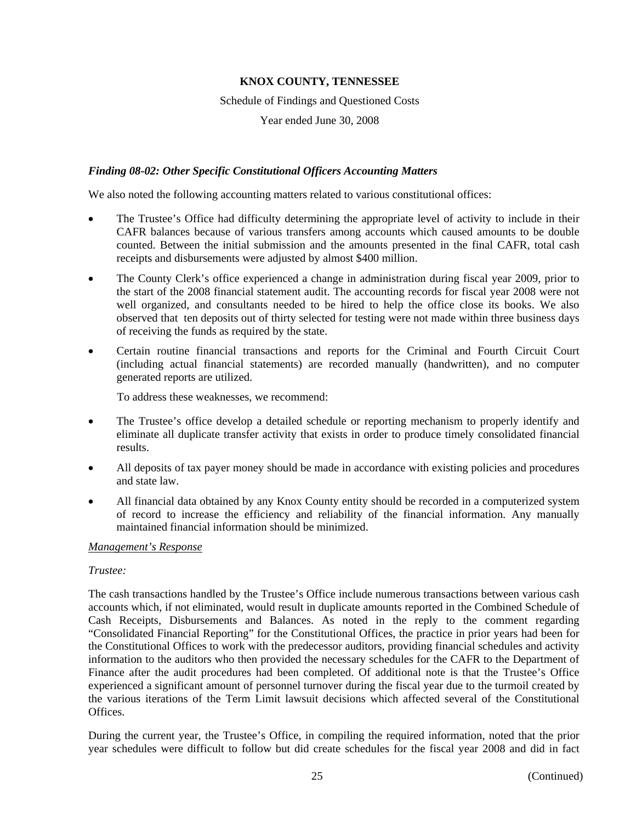Schedule of Findings and Questioned Costs

Year ended June 30, 2008

### *Finding 08-02: Other Specific Constitutional Officers Accounting Matters*

We also noted the following accounting matters related to various constitutional offices:

- The Trustee's Office had difficulty determining the appropriate level of activity to include in their CAFR balances because of various transfers among accounts which caused amounts to be double counted. Between the initial submission and the amounts presented in the final CAFR, total cash receipts and disbursements were adjusted by almost \$400 million.
- The County Clerk's office experienced a change in administration during fiscal year 2009, prior to the start of the 2008 financial statement audit. The accounting records for fiscal year 2008 were not well organized, and consultants needed to be hired to help the office close its books. We also observed that ten deposits out of thirty selected for testing were not made within three business days of receiving the funds as required by the state.
- Certain routine financial transactions and reports for the Criminal and Fourth Circuit Court (including actual financial statements) are recorded manually (handwritten), and no computer generated reports are utilized.

To address these weaknesses, we recommend:

- The Trustee's office develop a detailed schedule or reporting mechanism to properly identify and eliminate all duplicate transfer activity that exists in order to produce timely consolidated financial results.
- All deposits of tax payer money should be made in accordance with existing policies and procedures and state law.
- All financial data obtained by any Knox County entity should be recorded in a computerized system of record to increase the efficiency and reliability of the financial information. Any manually maintained financial information should be minimized.

#### *Management's Response*

#### *Trustee:*

The cash transactions handled by the Trustee's Office include numerous transactions between various cash accounts which, if not eliminated, would result in duplicate amounts reported in the Combined Schedule of Cash Receipts, Disbursements and Balances. As noted in the reply to the comment regarding "Consolidated Financial Reporting" for the Constitutional Offices, the practice in prior years had been for the Constitutional Offices to work with the predecessor auditors, providing financial schedules and activity information to the auditors who then provided the necessary schedules for the CAFR to the Department of Finance after the audit procedures had been completed. Of additional note is that the Trustee's Office experienced a significant amount of personnel turnover during the fiscal year due to the turmoil created by the various iterations of the Term Limit lawsuit decisions which affected several of the Constitutional **Offices** 

During the current year, the Trustee's Office, in compiling the required information, noted that the prior year schedules were difficult to follow but did create schedules for the fiscal year 2008 and did in fact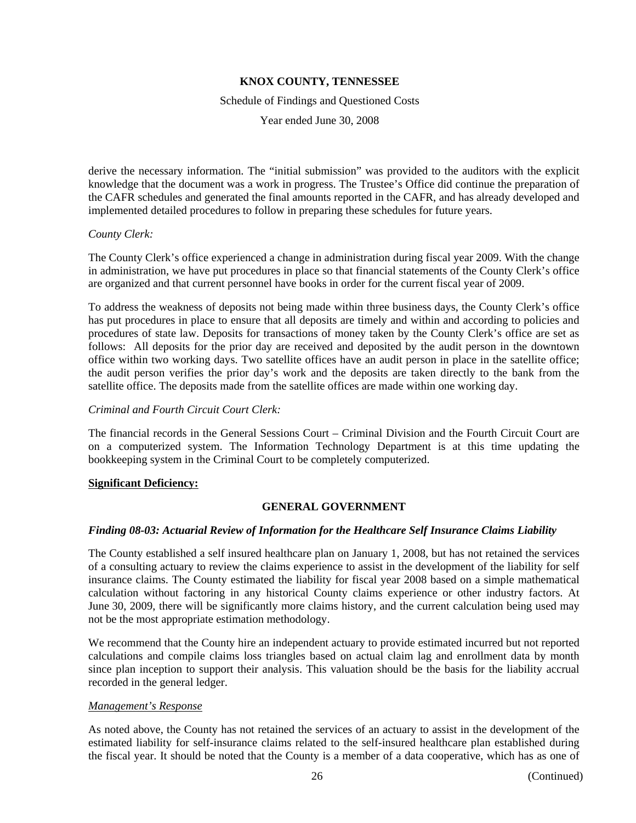#### Schedule of Findings and Questioned Costs

Year ended June 30, 2008

derive the necessary information. The "initial submission" was provided to the auditors with the explicit knowledge that the document was a work in progress. The Trustee's Office did continue the preparation of the CAFR schedules and generated the final amounts reported in the CAFR, and has already developed and implemented detailed procedures to follow in preparing these schedules for future years.

#### *County Clerk:*

The County Clerk's office experienced a change in administration during fiscal year 2009. With the change in administration, we have put procedures in place so that financial statements of the County Clerk's office are organized and that current personnel have books in order for the current fiscal year of 2009.

To address the weakness of deposits not being made within three business days, the County Clerk's office has put procedures in place to ensure that all deposits are timely and within and according to policies and procedures of state law. Deposits for transactions of money taken by the County Clerk's office are set as follows: All deposits for the prior day are received and deposited by the audit person in the downtown office within two working days. Two satellite offices have an audit person in place in the satellite office; the audit person verifies the prior day's work and the deposits are taken directly to the bank from the satellite office. The deposits made from the satellite offices are made within one working day.

### *Criminal and Fourth Circuit Court Clerk:*

The financial records in the General Sessions Court – Criminal Division and the Fourth Circuit Court are on a computerized system. The Information Technology Department is at this time updating the bookkeeping system in the Criminal Court to be completely computerized.

## **Significant Deficiency:**

## **GENERAL GOVERNMENT**

## *Finding 08-03: Actuarial Review of Information for the Healthcare Self Insurance Claims Liability*

The County established a self insured healthcare plan on January 1, 2008, but has not retained the services of a consulting actuary to review the claims experience to assist in the development of the liability for self insurance claims. The County estimated the liability for fiscal year 2008 based on a simple mathematical calculation without factoring in any historical County claims experience or other industry factors. At June 30, 2009, there will be significantly more claims history, and the current calculation being used may not be the most appropriate estimation methodology.

We recommend that the County hire an independent actuary to provide estimated incurred but not reported calculations and compile claims loss triangles based on actual claim lag and enrollment data by month since plan inception to support their analysis. This valuation should be the basis for the liability accrual recorded in the general ledger.

#### *Management's Response*

As noted above, the County has not retained the services of an actuary to assist in the development of the estimated liability for self-insurance claims related to the self-insured healthcare plan established during the fiscal year. It should be noted that the County is a member of a data cooperative, which has as one of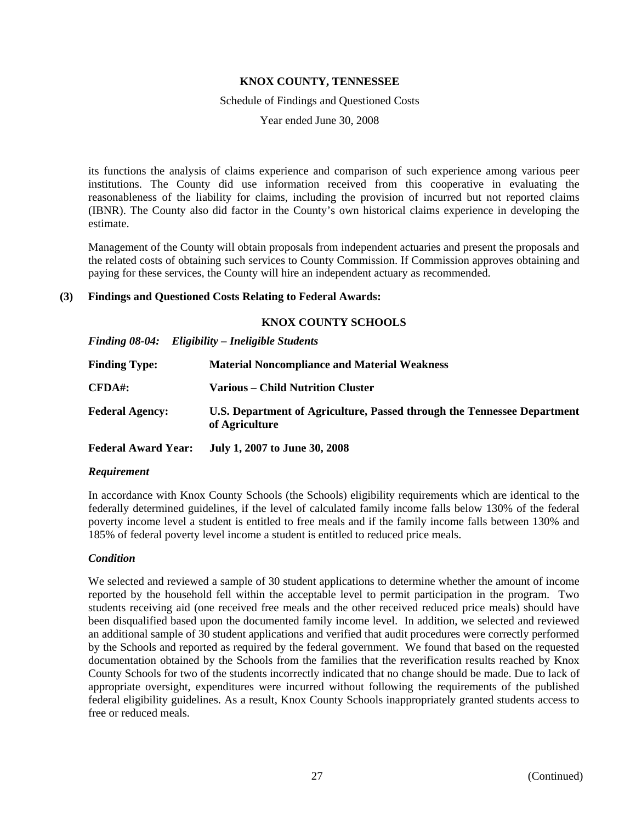Schedule of Findings and Questioned Costs

Year ended June 30, 2008

its functions the analysis of claims experience and comparison of such experience among various peer institutions. The County did use information received from this cooperative in evaluating the reasonableness of the liability for claims, including the provision of incurred but not reported claims (IBNR). The County also did factor in the County's own historical claims experience in developing the estimate.

Management of the County will obtain proposals from independent actuaries and present the proposals and the related costs of obtaining such services to County Commission. If Commission approves obtaining and paying for these services, the County will hire an independent actuary as recommended.

### **(3) Findings and Questioned Costs Relating to Federal Awards:**

#### **KNOX COUNTY SCHOOLS**

*Finding 08-04: Eligibility – Ineligible Students* 

| <b>Finding Type:</b>   | <b>Material Noncompliance and Material Weakness</b>                                       |
|------------------------|-------------------------------------------------------------------------------------------|
| $CFDA#$ :              | Various – Child Nutrition Cluster                                                         |
| <b>Federal Agency:</b> | U.S. Department of Agriculture, Passed through the Tennessee Department<br>of Agriculture |

**Federal Award Year: July 1, 2007 to June 30, 2008** 

#### *Requirement*

In accordance with Knox County Schools (the Schools) eligibility requirements which are identical to the federally determined guidelines, if the level of calculated family income falls below 130% of the federal poverty income level a student is entitled to free meals and if the family income falls between 130% and 185% of federal poverty level income a student is entitled to reduced price meals.

## *Condition*

We selected and reviewed a sample of 30 student applications to determine whether the amount of income reported by the household fell within the acceptable level to permit participation in the program. Two students receiving aid (one received free meals and the other received reduced price meals) should have been disqualified based upon the documented family income level. In addition, we selected and reviewed an additional sample of 30 student applications and verified that audit procedures were correctly performed by the Schools and reported as required by the federal government. We found that based on the requested documentation obtained by the Schools from the families that the reverification results reached by Knox County Schools for two of the students incorrectly indicated that no change should be made. Due to lack of appropriate oversight, expenditures were incurred without following the requirements of the published federal eligibility guidelines. As a result, Knox County Schools inappropriately granted students access to free or reduced meals.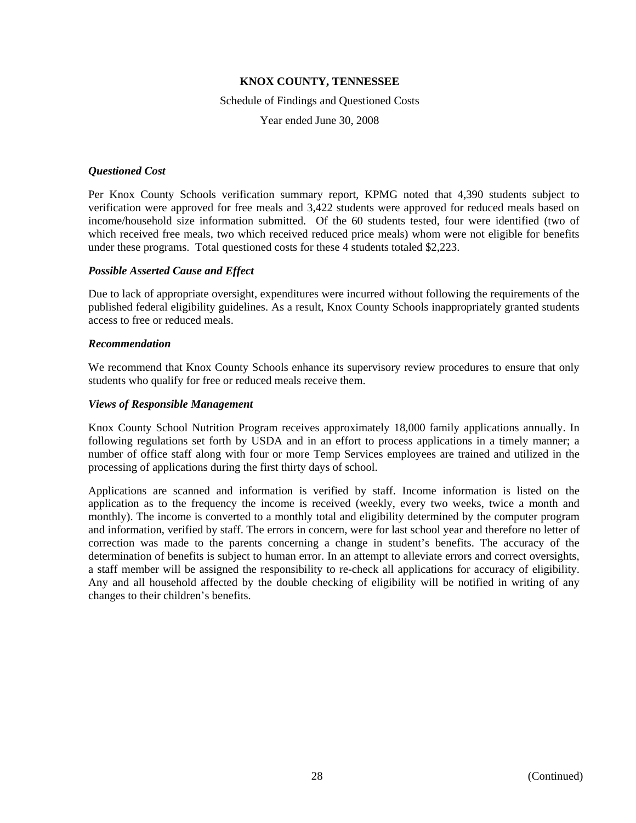Schedule of Findings and Questioned Costs

Year ended June 30, 2008

#### *Questioned Cost*

Per Knox County Schools verification summary report, KPMG noted that 4,390 students subject to verification were approved for free meals and 3,422 students were approved for reduced meals based on income/household size information submitted. Of the 60 students tested, four were identified (two of which received free meals, two which received reduced price meals) whom were not eligible for benefits under these programs. Total questioned costs for these 4 students totaled \$2,223.

#### *Possible Asserted Cause and Effect*

Due to lack of appropriate oversight, expenditures were incurred without following the requirements of the published federal eligibility guidelines. As a result, Knox County Schools inappropriately granted students access to free or reduced meals.

#### *Recommendation*

We recommend that Knox County Schools enhance its supervisory review procedures to ensure that only students who qualify for free or reduced meals receive them.

#### *Views of Responsible Management*

Knox County School Nutrition Program receives approximately 18,000 family applications annually. In following regulations set forth by USDA and in an effort to process applications in a timely manner; a number of office staff along with four or more Temp Services employees are trained and utilized in the processing of applications during the first thirty days of school.

Applications are scanned and information is verified by staff. Income information is listed on the application as to the frequency the income is received (weekly, every two weeks, twice a month and monthly). The income is converted to a monthly total and eligibility determined by the computer program and information, verified by staff. The errors in concern, were for last school year and therefore no letter of correction was made to the parents concerning a change in student's benefits. The accuracy of the determination of benefits is subject to human error. In an attempt to alleviate errors and correct oversights, a staff member will be assigned the responsibility to re-check all applications for accuracy of eligibility. Any and all household affected by the double checking of eligibility will be notified in writing of any changes to their children's benefits.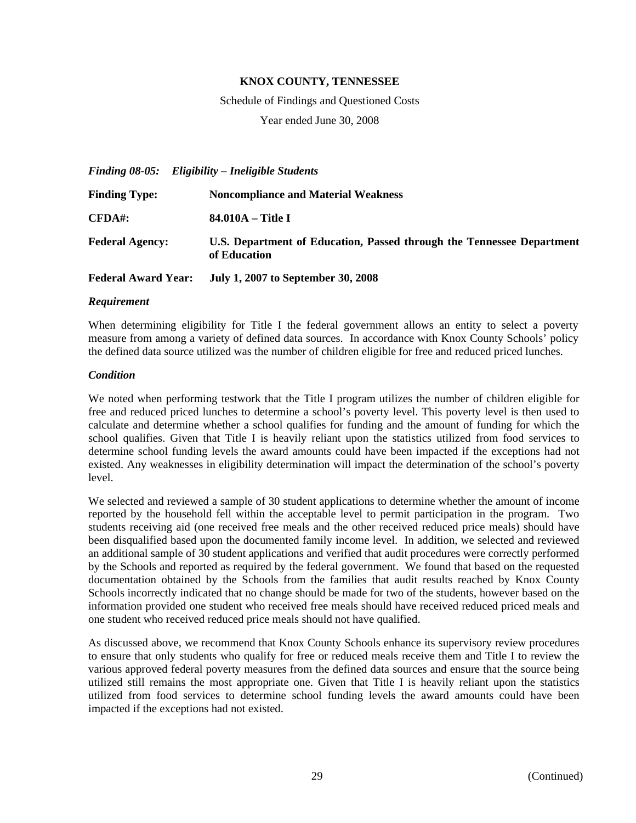Schedule of Findings and Questioned Costs

Year ended June 30, 2008

*Finding 08-05: Eligibility – Ineligible Students*  **Finding Type: Noncompliance and Material Weakness CFDA#: 84.010A – Title I Federal Agency: U.S. Department of Education, Passed through the Tennessee Department of Education Federal Award Year: July 1, 2007 to September 30, 2008** 

#### *Requirement*

When determining eligibility for Title I the federal government allows an entity to select a poverty measure from among a variety of defined data sources. In accordance with Knox County Schools' policy the defined data source utilized was the number of children eligible for free and reduced priced lunches.

#### *Condition*

We noted when performing testwork that the Title I program utilizes the number of children eligible for free and reduced priced lunches to determine a school's poverty level. This poverty level is then used to calculate and determine whether a school qualifies for funding and the amount of funding for which the school qualifies. Given that Title I is heavily reliant upon the statistics utilized from food services to determine school funding levels the award amounts could have been impacted if the exceptions had not existed. Any weaknesses in eligibility determination will impact the determination of the school's poverty level.

We selected and reviewed a sample of 30 student applications to determine whether the amount of income reported by the household fell within the acceptable level to permit participation in the program. Two students receiving aid (one received free meals and the other received reduced price meals) should have been disqualified based upon the documented family income level. In addition, we selected and reviewed an additional sample of 30 student applications and verified that audit procedures were correctly performed by the Schools and reported as required by the federal government. We found that based on the requested documentation obtained by the Schools from the families that audit results reached by Knox County Schools incorrectly indicated that no change should be made for two of the students, however based on the information provided one student who received free meals should have received reduced priced meals and one student who received reduced price meals should not have qualified.

As discussed above, we recommend that Knox County Schools enhance its supervisory review procedures to ensure that only students who qualify for free or reduced meals receive them and Title I to review the various approved federal poverty measures from the defined data sources and ensure that the source being utilized still remains the most appropriate one. Given that Title I is heavily reliant upon the statistics utilized from food services to determine school funding levels the award amounts could have been impacted if the exceptions had not existed.